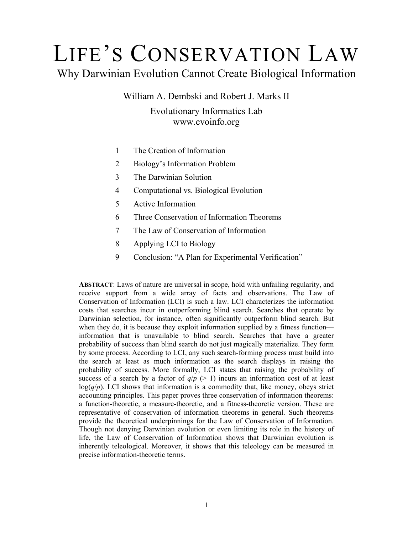# LIFE'S CONSERVATION LAW

# Why Darwinian Evolution Cannot Create Biological Information

William A. Dembski and Robert J. Marks II Evolutionary Informatics Lab www.evoinfo.org

- 1 The Creation of Information
- 2 Biology's Information Problem
- 3 The Darwinian Solution
- 4 Computational vs. Biological Evolution
- 5 Active Information
- 6 Three Conservation of Information Theorems
- 7 The Law of Conservation of Information
- 8 Applying LCI to Biology
- 9 Conclusion: "A Plan for Experimental Verification"

**ABSTRACT**: Laws of nature are universal in scope, hold with unfailing regularity, and receive support from a wide array of facts and observations. The Law of Conservation of Information (LCI) is such a law. LCI characterizes the information costs that searches incur in outperforming blind search. Searches that operate by Darwinian selection, for instance, often significantly outperform blind search. But when they do, it is because they exploit information supplied by a fitness function information that is unavailable to blind search. Searches that have a greater probability of success than blind search do not just magically materialize. They form by some process. According to LCI, any such search-forming process must build into the search at least as much information as the search displays in raising the probability of success. More formally, LCI states that raising the probability of success of a search by a factor of  $q/p$  ( $> 1$ ) incurs an information cost of at least  $log(q/p)$ . LCI shows that information is a commodity that, like money, obeys strict accounting principles. This paper proves three conservation of information theorems: a function-theoretic, a measure-theoretic, and a fitness-theoretic version. These are representative of conservation of information theorems in general. Such theorems provide the theoretical underpinnings for the Law of Conservation of Information. Though not denying Darwinian evolution or even limiting its role in the history of life, the Law of Conservation of Information shows that Darwinian evolution is inherently teleological. Moreover, it shows that this teleology can be measured in precise information-theoretic terms.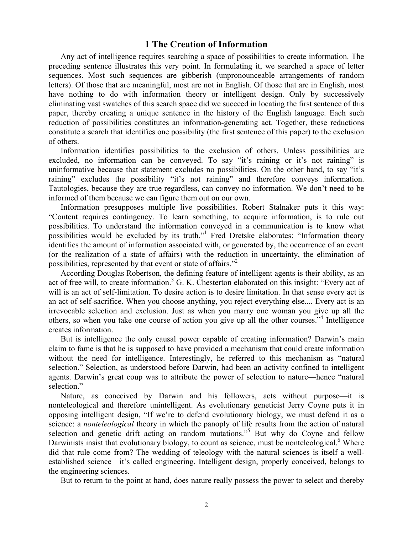### **1 The Creation of Information**

Any act of intelligence requires searching a space of possibilities to create information. The preceding sentence illustrates this very point. In formulating it, we searched a space of letter sequences. Most such sequences are gibberish (unpronounceable arrangements of random letters). Of those that are meaningful, most are not in English. Of those that are in English, most have nothing to do with information theory or intelligent design. Only by successively eliminating vast swatches of this search space did we succeed in locating the first sentence of this paper, thereby creating a unique sentence in the history of the English language. Each such reduction of possibilities constitutes an information-generating act. Together, these reductions constitute a search that identifies one possibility (the first sentence of this paper) to the exclusion of others.

Information identifies possibilities to the exclusion of others. Unless possibilities are excluded, no information can be conveyed. To say "it's raining or it's not raining" is uninformative because that statement excludes no possibilities. On the other hand, to say "it's raining" excludes the possibility "it's not raining" and therefore conveys information. Tautologies, because they are true regardless, can convey no information. We don't need to be informed of them because we can figure them out on our own.

Information presupposes multiple live possibilities. Robert Stalnaker puts it this way: "Content requires contingency. To learn something, to acquire information, is to rule out possibilities. To understand the information conveyed in a communication is to know what possibilities would be excluded by its truth."<sup>1</sup> Fred Dretske elaborates: "Information theory identifies the amount of information associated with, or generated by, the occurrence of an event (or the realization of a state of affairs) with the reduction in uncertainty, the elimination of possibilities, represented by that event or state of affairs."<sup>2</sup>

According Douglas Robertson, the defining feature of intelligent agents is their ability, as an act of free will, to create information.<sup>3</sup> G. K. Chesterton elaborated on this insight: "Every act of will is an act of self-limitation. To desire action is to desire limitation. In that sense every act is an act of self-sacrifice. When you choose anything, you reject everything else.... Every act is an irrevocable selection and exclusion. Just as when you marry one woman you give up all the others, so when you take one course of action you give up all the other courses."4 Intelligence creates information.

But is intelligence the only causal power capable of creating information? Darwin's main claim to fame is that he is supposed to have provided a mechanism that could create information without the need for intelligence. Interestingly, he referred to this mechanism as "natural selection." Selection, as understood before Darwin, had been an activity confined to intelligent agents. Darwin's great coup was to attribute the power of selection to nature—hence "natural selection."

Nature, as conceived by Darwin and his followers, acts without purpose—it is nonteleological and therefore unintelligent. As evolutionary geneticist Jerry Coyne puts it in opposing intelligent design, "If we're to defend evolutionary biology, we must defend it as a science: a *nonteleological* theory in which the panoply of life results from the action of natural selection and genetic drift acting on random mutations."<sup>5</sup> But why do Coyne and fellow Darwinists insist that evolutionary biology, to count as science, must be nonteleological.<sup>6</sup> Where did that rule come from? The wedding of teleology with the natural sciences is itself a wellestablished science—it's called engineering. Intelligent design, properly conceived, belongs to the engineering sciences.

But to return to the point at hand, does nature really possess the power to select and thereby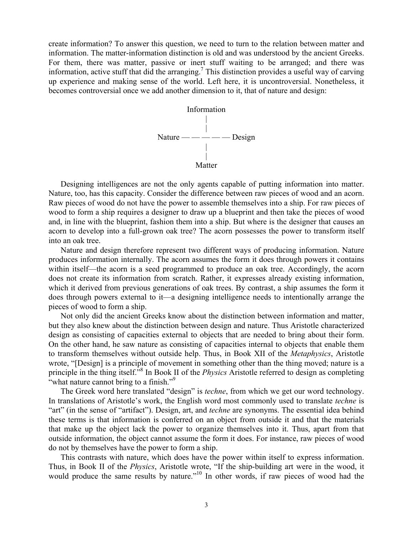create information? To answer this question, we need to turn to the relation between matter and information. The matter-information distinction is old and was understood by the ancient Greeks. For them, there was matter, passive or inert stuff waiting to be arranged; and there was information, active stuff that did the arranging.<sup>7</sup> This distinction provides a useful way of carving up experience and making sense of the world. Left here, it is uncontroversial. Nonetheless, it becomes controversial once we add another dimension to it, that of nature and design:



Designing intelligences are not the only agents capable of putting information into matter. Nature, too, has this capacity. Consider the difference between raw pieces of wood and an acorn. Raw pieces of wood do not have the power to assemble themselves into a ship. For raw pieces of wood to form a ship requires a designer to draw up a blueprint and then take the pieces of wood and, in line with the blueprint, fashion them into a ship. But where is the designer that causes an acorn to develop into a full-grown oak tree? The acorn possesses the power to transform itself into an oak tree.

Nature and design therefore represent two different ways of producing information. Nature produces information internally. The acorn assumes the form it does through powers it contains within itself—the acorn is a seed programmed to produce an oak tree. Accordingly, the acorn does not create its information from scratch. Rather, it expresses already existing information, which it derived from previous generations of oak trees. By contrast, a ship assumes the form it does through powers external to it—a designing intelligence needs to intentionally arrange the pieces of wood to form a ship.

Not only did the ancient Greeks know about the distinction between information and matter, but they also knew about the distinction between design and nature. Thus Aristotle characterized design as consisting of capacities external to objects that are needed to bring about their form. On the other hand, he saw nature as consisting of capacities internal to objects that enable them to transform themselves without outside help. Thus, in Book XII of the *Metaphysics*, Aristotle wrote, "[Design] is a principle of movement in something other than the thing moved; nature is a principle in the thing itself."8 In Book II of the *Physics* Aristotle referred to design as completing "what nature cannot bring to a finish."<sup>9</sup>

The Greek word here translated "design" is *techne*, from which we get our word technology. In translations of Aristotle's work, the English word most commonly used to translate *techne* is "art" (in the sense of "artifact"). Design, art, and *techne* are synonyms. The essential idea behind these terms is that information is conferred on an object from outside it and that the materials that make up the object lack the power to organize themselves into it. Thus, apart from that outside information, the object cannot assume the form it does. For instance, raw pieces of wood do not by themselves have the power to form a ship.

This contrasts with nature, which does have the power within itself to express information. Thus, in Book II of the *Physics*, Aristotle wrote, "If the ship-building art were in the wood, it would produce the same results by nature."<sup>10</sup> In other words, if raw pieces of wood had the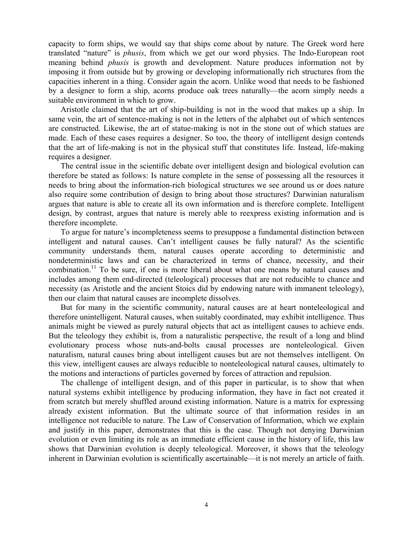capacity to form ships, we would say that ships come about by nature. The Greek word here translated "nature" is *phusis*, from which we get our word physics. The Indo-European root meaning behind *phusis* is growth and development. Nature produces information not by imposing it from outside but by growing or developing informationally rich structures from the capacities inherent in a thing. Consider again the acorn. Unlike wood that needs to be fashioned by a designer to form a ship, acorns produce oak trees naturally—the acorn simply needs a suitable environment in which to grow.

Aristotle claimed that the art of ship-building is not in the wood that makes up a ship. In same vein, the art of sentence-making is not in the letters of the alphabet out of which sentences are constructed. Likewise, the art of statue-making is not in the stone out of which statues are made. Each of these cases requires a designer. So too, the theory of intelligent design contends that the art of life-making is not in the physical stuff that constitutes life. Instead, life-making requires a designer.

The central issue in the scientific debate over intelligent design and biological evolution can therefore be stated as follows: Is nature complete in the sense of possessing all the resources it needs to bring about the information-rich biological structures we see around us or does nature also require some contribution of design to bring about those structures? Darwinian naturalism argues that nature is able to create all its own information and is therefore complete. Intelligent design, by contrast, argues that nature is merely able to reexpress existing information and is therefore incomplete.

To argue for nature's incompleteness seems to presuppose a fundamental distinction between intelligent and natural causes. Can't intelligent causes be fully natural? As the scientific community understands them, natural causes operate according to deterministic and nondeterministic laws and can be characterized in terms of chance, necessity, and their combination.<sup>11</sup> To be sure, if one is more liberal about what one means by natural causes and includes among them end-directed (teleological) processes that are not reducible to chance and necessity (as Aristotle and the ancient Stoics did by endowing nature with immanent teleology), then our claim that natural causes are incomplete dissolves.

But for many in the scientific community, natural causes are at heart nonteleological and therefore unintelligent. Natural causes, when suitably coordinated, may exhibit intelligence. Thus animals might be viewed as purely natural objects that act as intelligent causes to achieve ends. But the teleology they exhibit is, from a naturalistic perspective, the result of a long and blind evolutionary process whose nuts-and-bolts causal processes are nonteleological. Given naturalism, natural causes bring about intelligent causes but are not themselves intelligent. On this view, intelligent causes are always reducible to nonteleological natural causes, ultimately to the motions and interactions of particles governed by forces of attraction and repulsion.

The challenge of intelligent design, and of this paper in particular, is to show that when natural systems exhibit intelligence by producing information, they have in fact not created it from scratch but merely shuffled around existing information. Nature is a matrix for expressing already existent information. But the ultimate source of that information resides in an intelligence not reducible to nature. The Law of Conservation of Information, which we explain and justify in this paper, demonstrates that this is the case. Though not denying Darwinian evolution or even limiting its role as an immediate efficient cause in the history of life, this law shows that Darwinian evolution is deeply teleological. Moreover, it shows that the teleology inherent in Darwinian evolution is scientifically ascertainable—it is not merely an article of faith.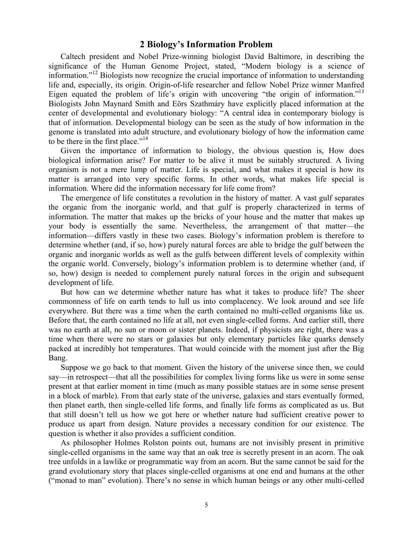#### **2 Biology's Information Problem**

Caltech president and Nobel Prize-winning biologist David Baltimore, in describing the significance of the Human Genome Project, stated, "Modern biology is a science of information."12 Biologists now recognize the crucial importance of information to understanding life and, especially, its origin. Origin-of-life researcher and fellow Nobel Prize winner Manfred Eigen equated the problem of life's origin with uncovering "the origin of information."<sup>13</sup> Biologists John Maynard Smith and Eörs Szathmáry have explicitly placed information at the center of developmental and evolutionary biology: "A central idea in contemporary biology is that of information. Developmental biology can be seen as the study of how information in the genome is translated into adult structure, and evolutionary biology of how the information came to be there in the first place."<sup>14</sup>

Given the importance of information to biology, the obvious question is, How does biological information arise? For matter to be alive it must be suitably structured. A living organism is not a mere lump of matter. Life is special, and what makes it special is how its matter is arranged into very specific forms. In other words, what makes life special is information. Where did the information necessary for life come from?

The emergence of life constitutes a revolution in the history of matter. A vast gulf separates the organic from the inorganic world, and that gulf is properly characterized in terms of information. The matter that makes up the bricks of your house and the matter that makes up your body is essentially the same. Nevertheless, the arrangement of that matter—the information—differs vastly in these two cases. Biology's information problem is therefore to determine whether (and, if so, how) purely natural forces are able to bridge the gulf between the organic and inorganic worlds as well as the gulfs between different levels of complexity within the organic world. Conversely, biology's information problem is to determine whether (and, if so, how) design is needed to complement purely natural forces in the origin and subsequent development of life.

But how can we determine whether nature has what it takes to produce life? The sheer commonness of life on earth tends to lull us into complacency. We look around and see life everywhere. But there was a time when the earth contained no multi-celled organisms like us. Before that, the earth contained no life at all, not even single-celled forms. And earlier still, there was no earth at all, no sun or moon or sister planets. Indeed, if physicists are right, there was a time when there were no stars or galaxies but only elementary particles like quarks densely packed at incredibly hot temperatures. That would coincide with the moment just after the Big Bang.

Suppose we go back to that moment. Given the history of the universe since then, we could say—in retrospect—that all the possibilities for complex living forms like us were in some sense present at that earlier moment in time (much as many possible statues are in some sense present in a block of marble). From that early state of the universe, galaxies and stars eventually formed, then planet earth, then single-celled life forms, and finally life forms as complicated as us. But that still doesn't tell us how we got here or whether nature had sufficient creative power to produce us apart from design. Nature provides a necessary condition for our existence. The question is whether it also provides a sufficient condition.

As philosopher Holmes Rolston points out, humans are not invisibly present in primitive single-celled organisms in the same way that an oak tree is secretly present in an acorn. The oak tree unfolds in a lawlike or programmatic way from an acorn. But the same cannot be said for the grand evolutionary story that places single-celled organisms at one end and humans at the other ("monad to man" evolution). There's no sense in which human beings or any other multi-celled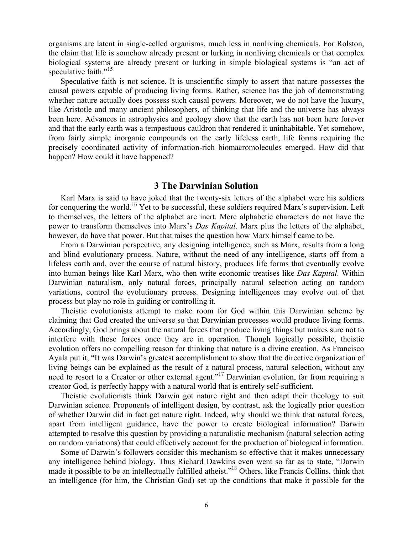organisms are latent in single-celled organisms, much less in nonliving chemicals. For Rolston, the claim that life is somehow already present or lurking in nonliving chemicals or that complex biological systems are already present or lurking in simple biological systems is "an act of speculative faith."<sup>15</sup>

Speculative faith is not science. It is unscientific simply to assert that nature possesses the causal powers capable of producing living forms. Rather, science has the job of demonstrating whether nature actually does possess such causal powers. Moreover, we do not have the luxury, like Aristotle and many ancient philosophers, of thinking that life and the universe has always been here. Advances in astrophysics and geology show that the earth has not been here forever and that the early earth was a tempestuous cauldron that rendered it uninhabitable. Yet somehow, from fairly simple inorganic compounds on the early lifeless earth, life forms requiring the precisely coordinated activity of information-rich biomacromolecules emerged. How did that happen? How could it have happened?

#### **3 The Darwinian Solution**

Karl Marx is said to have joked that the twenty-six letters of the alphabet were his soldiers for conquering the world.<sup>16</sup> Yet to be successful, these soldiers required Marx's supervision. Left to themselves, the letters of the alphabet are inert. Mere alphabetic characters do not have the power to transform themselves into Marx's *Das Kapital*. Marx plus the letters of the alphabet, however, do have that power. But that raises the question how Marx himself came to be.

From a Darwinian perspective, any designing intelligence, such as Marx, results from a long and blind evolutionary process. Nature, without the need of any intelligence, starts off from a lifeless earth and, over the course of natural history, produces life forms that eventually evolve into human beings like Karl Marx, who then write economic treatises like *Das Kapital*. Within Darwinian naturalism, only natural forces, principally natural selection acting on random variations, control the evolutionary process. Designing intelligences may evolve out of that process but play no role in guiding or controlling it.

Theistic evolutionists attempt to make room for God within this Darwinian scheme by claiming that God created the universe so that Darwinian processes would produce living forms. Accordingly, God brings about the natural forces that produce living things but makes sure not to interfere with those forces once they are in operation. Though logically possible, theistic evolution offers no compelling reason for thinking that nature is a divine creation. As Francisco Ayala put it, "It was Darwin's greatest accomplishment to show that the directive organization of living beings can be explained as the result of a natural process, natural selection, without any need to resort to a Creator or other external agent."<sup>17</sup> Darwinian evolution, far from requiring a creator God, is perfectly happy with a natural world that is entirely self-sufficient.

Theistic evolutionists think Darwin got nature right and then adapt their theology to suit Darwinian science. Proponents of intelligent design, by contrast, ask the logically prior question of whether Darwin did in fact get nature right. Indeed, why should we think that natural forces, apart from intelligent guidance, have the power to create biological information? Darwin attempted to resolve this question by providing a naturalistic mechanism (natural selection acting on random variations) that could effectively account for the production of biological information.

Some of Darwin's followers consider this mechanism so effective that it makes unnecessary any intelligence behind biology. Thus Richard Dawkins even went so far as to state, "Darwin made it possible to be an intellectually fulfilled atheist."18 Others, like Francis Collins, think that an intelligence (for him, the Christian God) set up the conditions that make it possible for the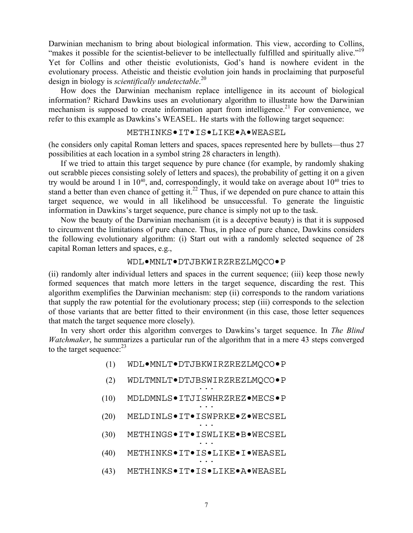Darwinian mechanism to bring about biological information. This view, according to Collins, "makes it possible for the scientist-believer to be intellectually fulfilled and spiritually alive."<sup>19</sup> Yet for Collins and other theistic evolutionists, God's hand is nowhere evident in the evolutionary process. Atheistic and theistic evolution join hands in proclaiming that purposeful design in biology is *scientifically undetectable*. 20

How does the Darwinian mechanism replace intelligence in its account of biological information? Richard Dawkins uses an evolutionary algorithm to illustrate how the Darwinian mechanism is supposed to create information apart from intelligence.<sup>21</sup> For convenience, we refer to this example as Dawkins's WEASEL. He starts with the following target sequence:

#### METHINKS•IT•IS•LIKE•A•WEASEL

(he considers only capital Roman letters and spaces, spaces represented here by bullets—thus 27 possibilities at each location in a symbol string 28 characters in length).

If we tried to attain this target sequence by pure chance (for example, by randomly shaking out scrabble pieces consisting solely of letters and spaces), the probability of getting it on a given try would be around 1 in  $10^{40}$ , and, correspondingly, it would take on average about  $10^{40}$  tries to stand a better than even chance of getting it.<sup>22</sup> Thus, if we depended on pure chance to attain this target sequence, we would in all likelihood be unsuccessful. To generate the linguistic information in Dawkins's target sequence, pure chance is simply not up to the task.

Now the beauty of the Darwinian mechanism (it is a deceptive beauty) is that it is supposed to circumvent the limitations of pure chance. Thus, in place of pure chance, Dawkins considers the following evolutionary algorithm: (i) Start out with a randomly selected sequence of 28 capital Roman letters and spaces, e.g.,

#### WDL•MNLT•DTJBKWIRZREZLMQCO•P

(ii) randomly alter individual letters and spaces in the current sequence; (iii) keep those newly formed sequences that match more letters in the target sequence, discarding the rest. This algorithm exemplifies the Darwinian mechanism: step (ii) corresponds to the random variations that supply the raw potential for the evolutionary process; step (iii) corresponds to the selection of those variants that are better fitted to their environment (in this case, those letter sequences that match the target sequence more closely).

In very short order this algorithm converges to Dawkins's target sequence. In *The Blind Watchmaker*, he summarizes a particular run of the algorithm that in a mere 43 steps converged to the target sequence:  $23$ 

- (1) WDL•MNLT•DTJBKWIRZREZLMQCO•P
- (2) WDLTMNLT•DTJBSWIRZREZLMQCO•P ...
- (10) MDLDMNLS●ITJISWHRZREZ●MECS●P
- (20) MELDINLS•IT•ISWPRKE•Z•WECSEL
- (30) METHINGS•IT•ISWLIKE•B•WECSEL
- $(40)$  METHINKS $\bullet$ IT $\bullet$ IS $\bullet$ LIKE $\bullet$ I $\bullet$ WEASEL
- (43) METHINKS•IT•IS•LIKE•A•WEASEL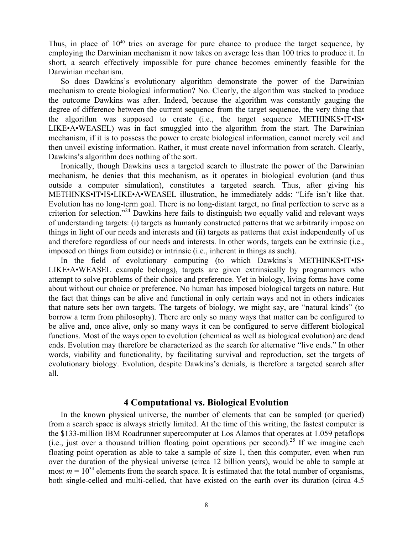Thus, in place of  $10^{40}$  tries on average for pure chance to produce the target sequence, by employing the Darwinian mechanism it now takes on average less than 100 tries to produce it. In short, a search effectively impossible for pure chance becomes eminently feasible for the Darwinian mechanism.

So does Dawkins's evolutionary algorithm demonstrate the power of the Darwinian mechanism to create biological information? No. Clearly, the algorithm was stacked to produce the outcome Dawkins was after. Indeed, because the algorithm was constantly gauging the degree of difference between the current sequence from the target sequence, the very thing that the algorithm was supposed to create (i.e., the target sequence METHINKS•IT•IS• LIKE•A•WEASEL) was in fact smuggled into the algorithm from the start. The Darwinian mechanism, if it is to possess the power to create biological information, cannot merely veil and then unveil existing information. Rather, it must create novel information from scratch. Clearly, Dawkins's algorithm does nothing of the sort.

Ironically, though Dawkins uses a targeted search to illustrate the power of the Darwinian mechanism, he denies that this mechanism, as it operates in biological evolution (and thus outside a computer simulation), constitutes a targeted search. Thus, after giving his METHINKS•IT•IS•LIKE•A•WEASEL illustration, he immediately adds: "Life isn't like that. Evolution has no long-term goal. There is no long-distant target, no final perfection to serve as a criterion for selection."24 Dawkins here fails to distinguish two equally valid and relevant ways of understanding targets: (i) targets as humanly constructed patterns that we arbitrarily impose on things in light of our needs and interests and (ii) targets as patterns that exist independently of us and therefore regardless of our needs and interests. In other words, targets can be extrinsic (i.e., imposed on things from outside) or intrinsic (i.e., inherent in things as such).

In the field of evolutionary computing (to which Dawkins's METHINKS•IT•IS• LIKE•A•WEASEL example belongs), targets are given extrinsically by programmers who attempt to solve problems of their choice and preference. Yet in biology, living forms have come about without our choice or preference. No human has imposed biological targets on nature. But the fact that things can be alive and functional in only certain ways and not in others indicates that nature sets her own targets. The targets of biology, we might say, are "natural kinds" (to borrow a term from philosophy). There are only so many ways that matter can be configured to be alive and, once alive, only so many ways it can be configured to serve different biological functions. Most of the ways open to evolution (chemical as well as biological evolution) are dead ends. Evolution may therefore be characterized as the search for alternative "live ends." In other words, viability and functionality, by facilitating survival and reproduction, set the targets of evolutionary biology. Evolution, despite Dawkins's denials, is therefore a targeted search after all.

#### **4 Computational vs. Biological Evolution**

In the known physical universe, the number of elements that can be sampled (or queried) from a search space is always strictly limited. At the time of this writing, the fastest computer is the \$133-million IBM Roadrunner supercomputer at Los Alamos that operates at 1.059 petaflops (i.e., just over a thousand trillion floating point operations per second).<sup>25</sup> If we imagine each floating point operation as able to take a sample of size 1, then this computer, even when run over the duration of the physical universe (circa 12 billion years), would be able to sample at most  $m = 10^{34}$  elements from the search space. It is estimated that the total number of organisms, both single-celled and multi-celled, that have existed on the earth over its duration (circa 4.5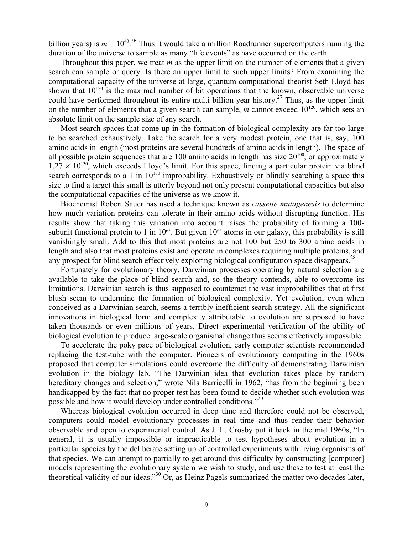billion years) is  $m = 10^{40}$ .<sup>26</sup> Thus it would take a million Roadrunner supercomputers running the duration of the universe to sample as many "life events" as have occurred on the earth.

Throughout this paper, we treat *m* as the upper limit on the number of elements that a given search can sample or query. Is there an upper limit to such upper limits? From examining the computational capacity of the universe at large, quantum computational theorist Seth Lloyd has shown that  $10^{120}$  is the maximal number of bit operations that the known, observable universe could have performed throughout its entire multi-billion year history.<sup>27</sup> Thus, as the upper limit on the number of elements that a given search can sample,  $m$  cannot exceed  $10^{120}$ , which sets an absolute limit on the sample size of any search.

Most search spaces that come up in the formation of biological complexity are far too large to be searched exhaustively. Take the search for a very modest protein, one that is, say, 100 amino acids in length (most proteins are several hundreds of amino acids in length). The space of all possible protein sequences that are 100 amino acids in length has size  $20^{100}$ , or approximately  $1.27 \times 10^{130}$ , which exceeds Lloyd's limit. For this space, finding a particular protein via blind search corresponds to a 1 in  $10^{130}$  improbability. Exhaustively or blindly searching a space this size to find a target this small is utterly beyond not only present computational capacities but also the computational capacities of the universe as we know it.

Biochemist Robert Sauer has used a technique known as *cassette mutagenesis* to determine how much variation proteins can tolerate in their amino acids without disrupting function. His results show that taking this variation into account raises the probability of forming a 100 subunit functional protein to 1 in  $10^{65}$ . But given  $10^{65}$  atoms in our galaxy, this probability is still vanishingly small. Add to this that most proteins are not 100 but 250 to 300 amino acids in length and also that most proteins exist and operate in complexes requiring multiple proteins, and any prospect for blind search effectively exploring biological configuration space disappears.<sup>28</sup>

Fortunately for evolutionary theory, Darwinian processes operating by natural selection are available to take the place of blind search and, so the theory contends, able to overcome its limitations. Darwinian search is thus supposed to counteract the vast improbabilities that at first blush seem to undermine the formation of biological complexity. Yet evolution, even when conceived as a Darwinian search, seems a terribly inefficient search strategy. All the significant innovations in biological form and complexity attributable to evolution are supposed to have taken thousands or even millions of years. Direct experimental verification of the ability of biological evolution to produce large-scale organismal change thus seems effectively impossible.

To accelerate the poky pace of biological evolution, early computer scientists recommended replacing the test-tube with the computer. Pioneers of evolutionary computing in the 1960s proposed that computer simulations could overcome the difficulty of demonstrating Darwinian evolution in the biology lab. "The Darwinian idea that evolution takes place by random hereditary changes and selection," wrote Nils Barricelli in 1962, "has from the beginning been handicapped by the fact that no proper test has been found to decide whether such evolution was possible and how it would develop under controlled conditions."29

Whereas biological evolution occurred in deep time and therefore could not be observed, computers could model evolutionary processes in real time and thus render their behavior observable and open to experimental control. As J. L. Crosby put it back in the mid 1960s, "In general, it is usually impossible or impracticable to test hypotheses about evolution in a particular species by the deliberate setting up of controlled experiments with living organisms of that species. We can attempt to partially to get around this difficulty by constructing [computer] models representing the evolutionary system we wish to study, and use these to test at least the theoretical validity of our ideas."30 Or, as Heinz Pagels summarized the matter two decades later,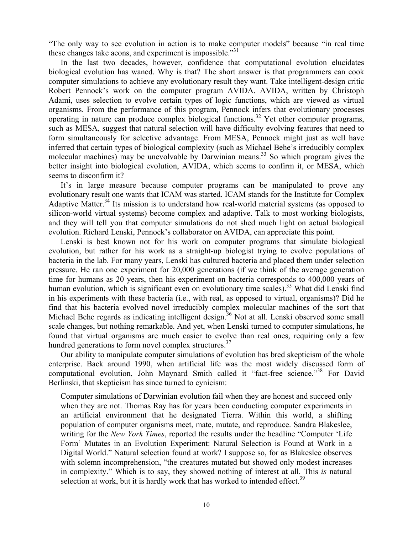"The only way to see evolution in action is to make computer models" because "in real time these changes take aeons, and experiment is impossible.<sup>331</sup>

In the last two decades, however, confidence that computational evolution elucidates biological evolution has waned. Why is that? The short answer is that programmers can cook computer simulations to achieve any evolutionary result they want. Take intelligent-design critic Robert Pennock's work on the computer program AVIDA. AVIDA, written by Christoph Adami, uses selection to evolve certain types of logic functions, which are viewed as virtual organisms. From the performance of this program, Pennock infers that evolutionary processes operating in nature can produce complex biological functions.32 Yet other computer programs, such as MESA, suggest that natural selection will have difficulty evolving features that need to form simultaneously for selective advantage. From MESA, Pennock might just as well have inferred that certain types of biological complexity (such as Michael Behe's irreducibly complex molecular machines) may be unevolvable by Darwinian means.<sup>33</sup> So which program gives the better insight into biological evolution, AVIDA, which seems to confirm it, or MESA, which seems to disconfirm it?

It's in large measure because computer programs can be manipulated to prove any evolutionary result one wants that ICAM was started. ICAM stands for the Institute for Complex Adaptive Matter.<sup>34</sup> Its mission is to understand how real-world material systems (as opposed to silicon-world virtual systems) become complex and adaptive. Talk to most working biologists, and they will tell you that computer simulations do not shed much light on actual biological evolution. Richard Lenski, Pennock's collaborator on AVIDA, can appreciate this point.

Lenski is best known not for his work on computer programs that simulate biological evolution, but rather for his work as a straight-up biologist trying to evolve populations of bacteria in the lab. For many years, Lenski has cultured bacteria and placed them under selection pressure. He ran one experiment for 20,000 generations (if we think of the average generation time for humans as 20 years, then his experiment on bacteria corresponds to 400,000 years of human evolution, which is significant even on evolutionary time scales).<sup>35</sup> What did Lenski find in his experiments with these bacteria (i.e., with real, as opposed to virtual, organisms)? Did he find that his bacteria evolved novel irreducibly complex molecular machines of the sort that Michael Behe regards as indicating intelligent design.<sup>36</sup> Not at all. Lenski observed some small scale changes, but nothing remarkable. And yet, when Lenski turned to computer simulations, he found that virtual organisms are much easier to evolve than real ones, requiring only a few hundred generations to form novel complex structures.<sup>37</sup>

Our ability to manipulate computer simulations of evolution has bred skepticism of the whole enterprise. Back around 1990, when artificial life was the most widely discussed form of computational evolution, John Maynard Smith called it "fact-free science."38 For David Berlinski, that skepticism has since turned to cynicism:

Computer simulations of Darwinian evolution fail when they are honest and succeed only when they are not. Thomas Ray has for years been conducting computer experiments in an artificial environment that he designated Tierra. Within this world, a shifting population of computer organisms meet, mate, mutate, and reproduce. Sandra Blakeslee, writing for the *New York Times*, reported the results under the headline "Computer 'Life Form' Mutates in an Evolution Experiment: Natural Selection is Found at Work in a Digital World." Natural selection found at work? I suppose so, for as Blakeslee observes with solemn incomprehension, "the creatures mutated but showed only modest increases in complexity." Which is to say, they showed nothing of interest at all. This *is* natural selection at work, but it is hardly work that has worked to intended effect.<sup>39</sup>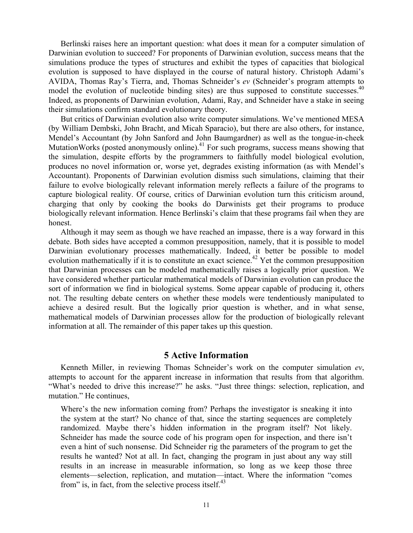Berlinski raises here an important question: what does it mean for a computer simulation of Darwinian evolution to succeed? For proponents of Darwinian evolution, success means that the simulations produce the types of structures and exhibit the types of capacities that biological evolution is supposed to have displayed in the course of natural history. Christoph Adami's AVIDA, Thomas Ray's Tierra, and, Thomas Schneider's *ev* (Schneider's program attempts to model the evolution of nucleotide binding sites) are thus supposed to constitute successes.<sup>40</sup> Indeed, as proponents of Darwinian evolution, Adami, Ray, and Schneider have a stake in seeing their simulations confirm standard evolutionary theory.

But critics of Darwinian evolution also write computer simulations. We've mentioned MESA (by William Dembski, John Bracht, and Micah Sparacio), but there are also others, for instance, Mendel's Accountant (by John Sanford and John Baumgardner) as well as the tongue-in-cheek MutationWorks (posted anonymously online). $41$  For such programs, success means showing that the simulation, despite efforts by the programmers to faithfully model biological evolution, produces no novel information or, worse yet, degrades existing information (as with Mendel's Accountant). Proponents of Darwinian evolution dismiss such simulations, claiming that their failure to evolve biologically relevant information merely reflects a failure of the programs to capture biological reality. Of course, critics of Darwinian evolution turn this criticism around, charging that only by cooking the books do Darwinists get their programs to produce biologically relevant information. Hence Berlinski's claim that these programs fail when they are honest.

Although it may seem as though we have reached an impasse, there is a way forward in this debate. Both sides have accepted a common presupposition, namely, that it is possible to model Darwinian evolutionary processes mathematically. Indeed, it better be possible to model evolution mathematically if it is to constitute an exact science.<sup>42</sup> Yet the common presupposition that Darwinian processes can be modeled mathematically raises a logically prior question. We have considered whether particular mathematical models of Darwinian evolution can produce the sort of information we find in biological systems. Some appear capable of producing it, others not. The resulting debate centers on whether these models were tendentiously manipulated to achieve a desired result. But the logically prior question is whether, and in what sense, mathematical models of Darwinian processes allow for the production of biologically relevant information at all. The remainder of this paper takes up this question.

### **5 Active Information**

Kenneth Miller, in reviewing Thomas Schneider's work on the computer simulation *ev*, attempts to account for the apparent increase in information that results from that algorithm. "What's needed to drive this increase?" he asks. "Just three things: selection, replication, and mutation." He continues,

Where's the new information coming from? Perhaps the investigator is sneaking it into the system at the start? No chance of that, since the starting sequences are completely randomized. Maybe there's hidden information in the program itself? Not likely. Schneider has made the source code of his program open for inspection, and there isn't even a hint of such nonsense. Did Schneider rig the parameters of the program to get the results he wanted? Not at all. In fact, changing the program in just about any way still results in an increase in measurable information, so long as we keep those three elements—selection, replication, and mutation—intact. Where the information "comes from" is, in fact, from the selective process itself. $^{43}$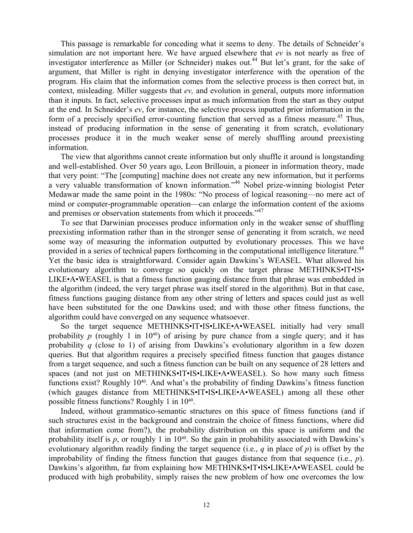This passage is remarkable for conceding what it seems to deny. The details of Schneider's simulation are not important here. We have argued elsewhere that *ev* is not nearly as free of investigator interference as Miller (or Schneider) makes out.<sup>44</sup> But let's grant, for the sake of argument, that Miller is right in denying investigator interference with the operation of the program. His claim that the information comes from the selective process is then correct but, in context, misleading. Miller suggests that *ev,* and evolution in general, outputs more information than it inputs. In fact, selective processes input as much information from the start as they output at the end. In Schneider's *ev*, for instance, the selective process inputted prior information in the form of a precisely specified error-counting function that served as a fitness measure.<sup>45</sup> Thus, instead of producing information in the sense of generating it from scratch, evolutionary processes produce it in the much weaker sense of merely shuffling around preexisting information.

The view that algorithms cannot create information but only shuffle it around is longstanding and well-established. Over 50 years ago, Leon Brillouin, a pioneer in information theory, made that very point: "The [computing] machine does not create any new information, but it performs a very valuable transformation of known information."46 Nobel prize-winning biologist Peter Medawar made the same point in the 1980s: "No process of logical reasoning—no mere act of mind or computer-programmable operation—can enlarge the information content of the axioms and premises or observation statements from which it proceeds."<sup>47</sup>

To see that Darwinian processes produce information only in the weaker sense of shuffling preexisting information rather than in the stronger sense of generating it from scratch, we need some way of measuring the information outputted by evolutionary processes. This we have provided in a series of technical papers forthcoming in the computational intelligence literature.<sup>48</sup> Yet the basic idea is straightforward. Consider again Dawkins's WEASEL. What allowed his evolutionary algorithm to converge so quickly on the target phrase METHINKS•IT•IS• LIKE•A•WEASEL is that a fitness function gauging distance from that phrase was embedded in the algorithm (indeed, the very target phrase was itself stored in the algorithm). But in that case, fitness functions gauging distance from any other string of letters and spaces could just as well have been substituted for the one Dawkins used; and with those other fitness functions, the algorithm could have converged on any sequence whatsoever.

So the target sequence METHINKS•IT•IS•LIKE•A•WEASEL initially had very small probability  $p$  (roughly 1 in 10<sup>40</sup>) of arising by pure chance from a single query; and it has probability *q* (close to 1) of arising from Dawkins's evolutionary algorithm in a few dozen queries. But that algorithm requires a precisely specified fitness function that gauges distance from a target sequence, and such a fitness function can be built on any sequence of 28 letters and spaces (and not just on METHINKS•IT•IS•LIKE•A•WEASEL). So how many such fitness functions exist? Roughly  $10^{40}$ . And what's the probability of finding Dawkins's fitness function (which gauges distance from METHINKS•IT•IS•LIKE•A•WEASEL) among all these other possible fitness functions? Roughly 1 in 1040.

Indeed, without grammatico-semantic structures on this space of fitness functions (and if such structures exist in the background and constrain the choice of fitness functions, where did that information come from?), the probability distribution on this space is uniform and the probability itself is  $p$ , or roughly 1 in  $10^{40}$ . So the gain in probability associated with Dawkins's evolutionary algorithm readily finding the target sequence (i.e., *q* in place of *p*) is offset by the improbability of finding the fitness function that gauges distance from that sequence (i.e., *p*). Dawkins's algorithm, far from explaining how METHINKS•IT•IS•LIKE•A•WEASEL could be produced with high probability, simply raises the new problem of how one overcomes the low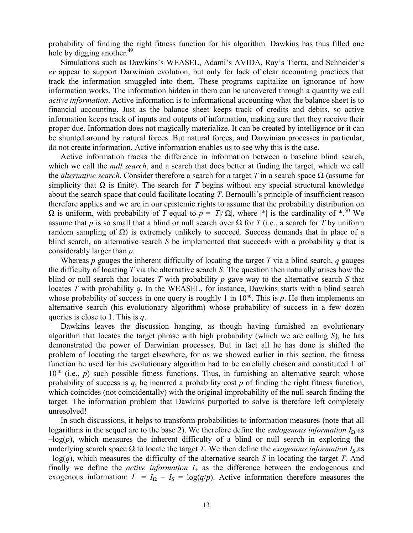probability of finding the right fitness function for his algorithm. Dawkins has thus filled one hole by digging another.<sup>49</sup>

Simulations such as Dawkins's WEASEL, Adami's AVIDA, Ray's Tierra, and Schneider's *ev* appear to support Darwinian evolution, but only for lack of clear accounting practices that track the information smuggled into them. These programs capitalize on ignorance of how information works. The information hidden in them can be uncovered through a quantity we call *active information*. Active information is to informational accounting what the balance sheet is to financial accounting. Just as the balance sheet keeps track of credits and debits, so active information keeps track of inputs and outputs of information, making sure that they receive their proper due. Information does not magically materialize. It can be created by intelligence or it can be shunted around by natural forces. But natural forces, and Darwinian processes in particular, do not create information. Active information enables us to see why this is the case.

Active information tracks the difference in information between a baseline blind search, which we call the *null search*, and a search that does better at finding the target, which we call the *alternative search*. Consider therefore a search for a target *T* in a search space  $\Omega$  (assume for simplicity that  $\Omega$  is finite). The search for *T* begins without any special structural knowledge about the search space that could facilitate locating *T*. Bernoulli's principle of insufficient reason therefore applies and we are in our epistemic rights to assume that the probability distribution on  $\Omega$  is uniform, with probability of *T* equal to *p* = |*T*|/| $\Omega$ |, where |\*| is the cardinality of \*.<sup>50</sup> We assume that *p* is so small that a blind or null search over  $\Omega$  for *T* (i.e., a search for *T* by uniform random sampling of  $Ω$ ) is extremely unlikely to succeed. Success demands that in place of a blind search, an alternative search *S* be implemented that succeeds with a probability *q* that is considerably larger than *p*.

Whereas *p* gauges the inherent difficulty of locating the target *T* via a blind search, *q* gauges the difficulty of locating *T* via the alternative search *S*. The question then naturally arises how the blind or null search that locates *T* with probability *p* gave way to the alternative search *S* that locates *T* with probability *q*. In the WEASEL, for instance, Dawkins starts with a blind search whose probability of success in one query is roughly 1 in  $10^{40}$ . This is  $p$ . He then implements an alternative search (his evolutionary algorithm) whose probability of success in a few dozen queries is close to 1. This is *q*.

Dawkins leaves the discussion hanging, as though having furnished an evolutionary algorithm that locates the target phrase with high probability (which we are calling *S*), he has demonstrated the power of Darwinian processes. But in fact all he has done is shifted the problem of locating the target elsewhere, for as we showed earlier in this section, the fitness function he used for his evolutionary algorithm had to be carefully chosen and constituted 1 of  $10^{40}$  (i.e., *p*) such possible fitness functions. Thus, in furnishing an alternative search whose probability of success is  $q$ , he incurred a probability cost  $p$  of finding the right fitness function, which coincides (not coincidentally) with the original improbability of the null search finding the target. The information problem that Dawkins purported to solve is therefore left completely unresolved!

In such discussions, it helps to transform probabilities to information measures (note that all logarithms in the sequel are to the base 2). We therefore define the *endogenous information I*<sub>Ω</sub> as  $-\log(p)$ , which measures the inherent difficulty of a blind or null search in exploring the underlying search space  $\Omega$  to locate the target *T*. We then define the *exogenous information*  $I_s$  as  $-\log(q)$ , which measures the difficulty of the alternative search *S* in locating the target *T*. And finally we define the *active information*  $I_+$  as the difference between the endogenous and exogenous information:  $I_+ = I_\Omega - I_S = \log(q/p)$ . Active information therefore measures the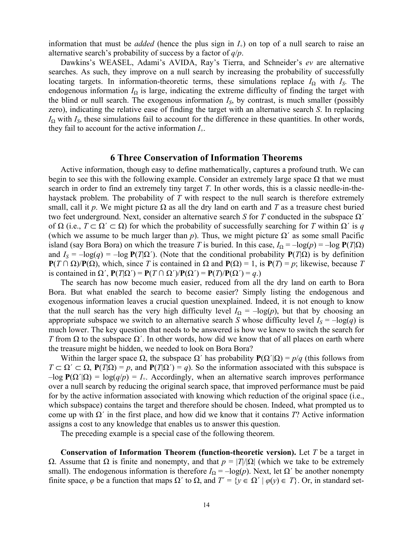information that must be *added* (hence the plus sign in *I*+) on top of a null search to raise an alternative search's probability of success by a factor of *q*/*p*.

Dawkins's WEASEL, Adami's AVIDA, Ray's Tierra, and Schneider's *ev* are alternative searches. As such, they improve on a null search by increasing the probability of successfully locating targets. In information-theoretic terms, these simulations replace  $I_{\Omega}$  with  $I_{S}$ . The endogenous information  $I_{\Omega}$  is large, indicating the extreme difficulty of finding the target with the blind or null search. The exogenous information  $I_{S_2}$  by contrast, is much smaller (possibly zero), indicating the relative ease of finding the target with an alternative search *S*. In replacing  $I_{\Omega}$  with  $I_{S}$ , these simulations fail to account for the difference in these quantities. In other words, they fail to account for the active information *I*+.

#### **6 Three Conservation of Information Theorems**

Active information, though easy to define mathematically, captures a profound truth. We can begin to see this with the following example. Consider an extremely large space  $\Omega$  that we must search in order to find an extremely tiny target *T*. In other words, this is a classic needle-in-thehaystack problem. The probability of *T* with respect to the null search is therefore extremely small, call it *p*. We might picture  $\Omega$  as all the dry land on earth and *T* as a treasure chest buried two feet underground. Next, consider an alternative search *S* for *T* conducted in the subspace Ω´ of  $\Omega$  (i.e.,  $T \subset \Omega' \subset \Omega$ ) for which the probability of successfully searching for *T* within  $\Omega'$  is *q* (which we assume to be much larger than  $p$ ). Thus, we might picture  $\Omega'$  as some small Pacific island (say Bora Bora) on which the treasure *T* is buried. In this case,  $I_{\Omega} = -\log(p) = -\log P(T|\Omega)$ and  $I_S = -\log(q) = -\log P(T|\Omega')$ . (Note that the conditional probability  $P(T|\Omega)$  is by definition **P**(*T* ∩  $\Omega$ )/**P**( $\Omega$ ), which, since *T* is contained in  $\Omega$  and **P**( $\Omega$ ) = 1, is **P**(*T*) = *p*; likewise, because *T* is contained in  $\Omega'$ ,  $P(T|\Omega') = P(T \cap \Omega')/P(\Omega') = P(T)/P(\Omega') = q$ .)

The search has now become much easier, reduced from all the dry land on earth to Bora Bora. But what enabled the search to become easier? Simply listing the endogenous and exogenous information leaves a crucial question unexplained. Indeed, it is not enough to know that the null search has the very high difficulty level  $I_{\Omega} = -\log(p)$ , but that by choosing an appropriate subspace we switch to an alternative search *S* whose difficulty level  $I_S = -\log(q)$  is much lower. The key question that needs to be answered is how we knew to switch the search for *T* from  $\Omega$  to the subspace  $\Omega'$ . In other words, how did we know that of all places on earth where the treasure might be hidden, we needed to look on Bora Bora?

Within the larger space  $\Omega$ , the subspace  $\Omega'$  has probability  $P(\Omega'|\Omega) = p/q$  (this follows from  $T \subset \Omega' \subset \Omega$ ,  $P(T|\Omega) = p$ , and  $P(T|\Omega') = q$ ). So the information associated with this subspace is  $-\log P(\Omega'|\Omega) = \log(q/p) = I_+$ . Accordingly, when an alternative search improves performance over a null search by reducing the original search space, that improved performance must be paid for by the active information associated with knowing which reduction of the original space (i.e., which subspace) contains the target and therefore should be chosen. Indeed, what prompted us to come up with Ω´ in the first place, and how did we know that it contains *T*? Active information assigns a cost to any knowledge that enables us to answer this question.

The preceding example is a special case of the following theorem.

**Conservation of Information Theorem (function-theoretic version).** Let *T* be a target in Ω. Assume that Ω is finite and nonempty, and that *p* = |*T*|/|Ω| (which we take to be extremely small). The endogenous information is therefore  $I_{\Omega} = -\log(p)$ . Next, let  $\Omega'$  be another nonempty finite space,  $\varphi$  be a function that maps  $\Omega'$  to  $\Omega$ , and  $T' = \{y \in \Omega' \mid \varphi(y) \in T\}$ . Or, in standard set-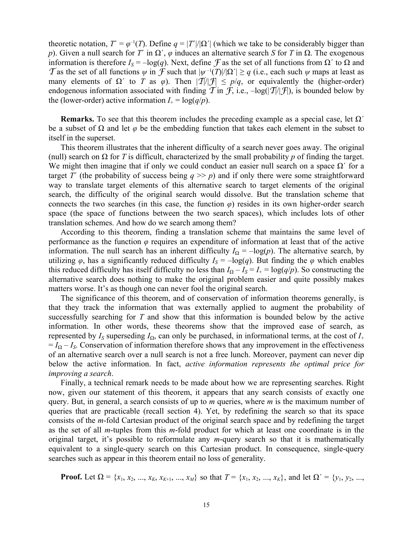theoretic notation,  $T' = \varphi^{-1}(T)$ . Define  $q = |T'|/|\Omega'|$  (which we take to be considerably bigger than *p*). Given a null search for *T*<sup> $\prime$ </sup> in  $\Omega'$ ,  $\varphi$  induces an alternative search *S* for *T* in  $\Omega$ . The exogenous information is therefore  $I_S = -\log(q)$ . Next, define  $\mathcal F$  as the set of all functions from  $\Omega'$  to  $\Omega$  and T as the set of all functions  $\psi$  in F such that  $|\psi^{-1}(T)|/|\Omega'| \ge q$  (i.e., each such  $\psi$  maps at least as many elements of  $\Omega'$  to *T* as  $\varphi$ ). Then  $|\mathcal{T}||\mathcal{F}| \leq p/q$ , or equivalently the (higher-order) endogenous information associated with finding  $\mathcal T$  in  $\mathcal F$ , i.e.,  $-\log(|\mathcal T|/\mathcal F)$ , is bounded below by the (lower-order) active information  $I_+ = \log(q/p)$ .

**Remarks.** To see that this theorem includes the preceding example as a special case, let  $\Omega'$ be a subset of  $\Omega$  and let  $\varphi$  be the embedding function that takes each element in the subset to itself in the superset.

This theorem illustrates that the inherent difficulty of a search never goes away. The original (null) search on Ω for *T* is difficult, characterized by the small probability *p* of finding the target. We might then imagine that if only we could conduct an easier null search on a space  $\Omega'$  for a target *T*<sup> $\prime$ </sup> (the probability of success being *q*  $\gg$  *p*) and if only there were some straightforward way to translate target elements of this alternative search to target elements of the original search, the difficulty of the original search would dissolve. But the translation scheme that connects the two searches (in this case, the function *φ*) resides in its own higher-order search space (the space of functions between the two search spaces), which includes lots of other translation schemes. And how do we search among them?

According to this theorem, finding a translation scheme that maintains the same level of performance as the function  $\varphi$  requires an expenditure of information at least that of the active information. The null search has an inherent difficulty  $I_{\Omega} = -\log(p)$ . The alternative search, by utilizing  $\varphi$ , has a significantly reduced difficulty  $I_s = -\log(q)$ . But finding the  $\varphi$  which enables this reduced difficulty has itself difficulty no less than  $I_{\Omega} - I_{S} = I_{+} = \log(q/p)$ . So constructing the alternative search does nothing to make the original problem easier and quite possibly makes matters worse. It's as though one can never fool the original search.

The significance of this theorem, and of conservation of information theorems generally, is that they track the information that was externally applied to augment the probability of successfully searching for *T* and show that this information is bounded below by the active information. In other words, these theorems show that the improved ease of search, as represented by  $I_S$  superseding  $I_{\Omega}$ , can only be purchased, in informational terms, at the cost of  $I_+$  $= I<sub>O</sub> - I<sub>S</sub>$ . Conservation of information therefore shows that any improvement in the effectiveness of an alternative search over a null search is not a free lunch. Moreover, payment can never dip below the active information. In fact, *active information represents the optimal price for improving a search*.

Finally, a technical remark needs to be made about how we are representing searches. Right now, given our statement of this theorem, it appears that any search consists of exactly one query. But, in general, a search consists of up to *m* queries, where *m* is the maximum number of queries that are practicable (recall section 4). Yet, by redefining the search so that its space consists of the *m*-fold Cartesian product of the original search space and by redefining the target as the set of all *m*-tuples from this *m*-fold product for which at least one coordinate is in the original target, it's possible to reformulate any *m*-query search so that it is mathematically equivalent to a single-query search on this Cartesian product. In consequence, single-query searches such as appear in this theorem entail no loss of generality.

**Proof.** Let  $\Omega = \{x_1, x_2, ..., x_K, x_{K+1}, ..., x_M\}$  so that  $T = \{x_1, x_2, ..., x_K\}$ , and let  $\Omega' = \{y_1, y_2, ..., y_K\}$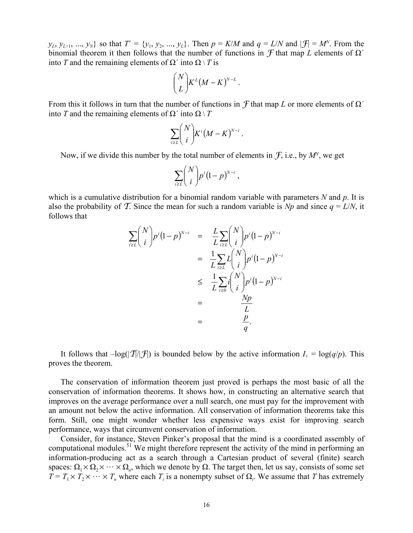*y*<sub>L</sub>, *y*<sub>L+1</sub>, ..., *y*<sub>N</sub>} so that  $T' = \{y_1, y_2, ..., y_L\}$ . Then  $p = K/M$  and  $q = L/N$  and  $|f| = M^N$ . From the binomial theorem it then follows that the number of functions in F that map *L* elements of Ω´ into *T* and the remaining elements of  $\Omega'$  into  $\Omega \setminus T$  is

$$
\binom{N}{L} K^L (M - K)^{N-L}.
$$

From this it follows in turn that the number of functions in  $\mathcal F$  that map  $L$  or more elements of  $\Omega'$ into *T* and the remaining elements of  $\Omega'$  into  $\Omega \setminus T$ 

$$
\sum_{i\geq L} {N \choose i} K^i (M-K)^{N-i}.
$$

Now, if we divide this number by the total number of elements in  $\mathcal{F}$ , i.e., by  $M^N$ , we get

$$
\sum_{i\geq L} {N \choose i} p^i (1-p)^{N-i} ,
$$

which is a cumulative distribution for a binomial random variable with parameters *N* and *p*. It is also the probability of T. Since the mean for such a random variable is *Np* and since  $q = L/N$ , it follows that

$$
\sum_{i\geq L} {N \choose i} p^i (1-p)^{N-i} = \frac{L}{L} \sum_{i\geq L} {N \choose i} p^i (1-p)^{N-i}
$$

$$
= \frac{1}{L} \sum_{i\geq L} L {N \choose i} p^i (1-p)^{N-i}
$$

$$
\leq \frac{1}{L} \sum_{i\geq 0} i {N \choose i} p^i (1-p)^{N-i}
$$

$$
= \frac{Np}{L}
$$

$$
= \frac{p}{q}.
$$

It follows that  $-\log(|\mathcal{T}|/|\mathcal{F}|)$  is bounded below by the active information  $I_+ = \log(q/p)$ . This proves the theorem.

The conservation of information theorem just proved is perhaps the most basic of all the conservation of information theorems. It shows how, in constructing an alternative search that improves on the average performance over a null search, one must pay for the improvement with an amount not below the active information. All conservation of information theorems take this form. Still, one might wonder whether less expensive ways exist for improving search performance, ways that circumvent conservation of information.

Consider, for instance, Steven Pinker's proposal that the mind is a coordinated assembly of computational modules.<sup>51</sup> We might therefore represent the activity of the mind in performing an information-producing act as a search through a Cartesian product of several (finite) search spaces:  $\Omega_1 \times \Omega_2 \times \cdots \times \Omega_n$ , which we denote by  $\Omega$ . The target then, let us say, consists of some set  $T = T_1 \times T_2 \times \cdots \times T_n$  where each  $T_i$  is a nonempty subset of  $\Omega_i$ . We assume that *T* has extremely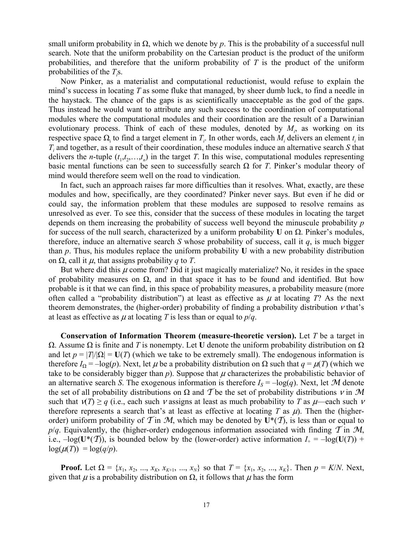small uniform probability in  $Ω$ , which we denote by *p*. This is the probability of a successful null search. Note that the uniform probability on the Cartesian product is the product of the uniform probabilities, and therefore that the uniform probability of *T* is the product of the uniform probabilities of the  $T_i$ s.

Now Pinker, as a materialist and computational reductionist, would refuse to explain the mind's success in locating *T* as some fluke that managed, by sheer dumb luck, to find a needle in the haystack. The chance of the gaps is as scientifically unacceptable as the god of the gaps. Thus instead he would want to attribute any such success to the coordination of computational modules where the computational modules and their coordination are the result of a Darwinian evolutionary process. Think of each of these modules, denoted by  $M_i$ , as working on its respective space  $\Omega_i$  to find a target element in  $T_i$ . In other words, each  $M_i$  delivers an element  $t_i$  in *Ti* and together, as a result of their coordination, these modules induce an alternative search *S* that delivers the *n*-tuple  $(t_1, t_2, \ldots, t_n)$  in the target *T*. In this wise, computational modules representing basic mental functions can be seen to successfully search  $\Omega$  for *T*. Pinker's modular theory of mind would therefore seem well on the road to vindication.

In fact, such an approach raises far more difficulties than it resolves. What, exactly, are these modules and how, specifically, are they coordinated? Pinker never says. But even if he did or could say, the information problem that these modules are supposed to resolve remains as unresolved as ever. To see this, consider that the success of these modules in locating the target depends on them increasing the probability of success well beyond the minuscule probability *p* for success of the null search, characterized by a uniform probability **U** on Ω. Pinker's modules, therefore, induce an alternative search *S* whose probability of success, call it  $q$ , is much bigger than *p*. Thus, his modules replace the uniform probability **U** with a new probability distribution on Ω, call it μ, that assigns probability *q* to *T*.

But where did this  $\mu$  come from? Did it just magically materialize? No, it resides in the space of probability measures on  $\Omega$ , and in that space it has to be found and identified. But how probable is it that we can find, in this space of probability measures, a probability measure (more often called a "probability distribution") at least as effective as  $\mu$  at locating *T*? As the next theorem demonstrates, the (higher-order) probability of finding a probability distribution  $\nu$  that's at least as effective as  $\mu$  at locating *T* is less than or equal to  $p/q$ .

**Conservation of Information Theorem (measure-theoretic version).** Let *T* be a target in Ω. Assume Ω is finite and *T* is nonempty. Let **U** denote the uniform probability distribution on Ω and let  $p = |T|/|\Omega| = U(T)$  (which we take to be extremely small). The endogenous information is therefore  $I_{\Omega} = -\log(p)$ . Next, let  $\mu$  be a probability distribution on  $\Omega$  such that  $q = \mu(T)$  (which we take to be considerably bigger than  $p$ ). Suppose that  $\mu$  characterizes the probabilistic behavior of an alternative search *S*. The exogenous information is therefore  $I_S = -\log(q)$ . Next, let M denote the set of all probability distributions on  $\Omega$  and T be the set of probability distributions  $\nu$  in M such that  $v(T) \geq q$  (i.e., each such *v* assigns at least as much probability to *T* as  $\mu$ —each such *v* therefore represents a search that's at least as effective at locating *T* as  $\mu$ ). Then the (higherorder) uniform probability of  $\mathcal T$  in M, which may be denoted by  $U^*(\mathcal T)$ , is less than or equal to  $p/q$ . Equivalently, the (higher-order) endogenous information associated with finding  $\mathcal T$  in  $\mathcal M$ , i.e.,  $-\log(\mathbf{U}^*(\mathcal{T}))$ , is bounded below by the (lower-order) active information  $I_+ = -\log(\mathbf{U}(T))$  +  $\log(\mu(T)) = \log(q/p).$ 

**Proof.** Let  $\Omega = \{x_1, x_2, ..., x_K, x_{K+1}, ..., x_N\}$  so that  $T = \{x_1, x_2, ..., x_K\}$ . Then  $p = K/N$ . Next, given that  $\mu$  is a probability distribution on  $\Omega$ , it follows that  $\mu$  has the form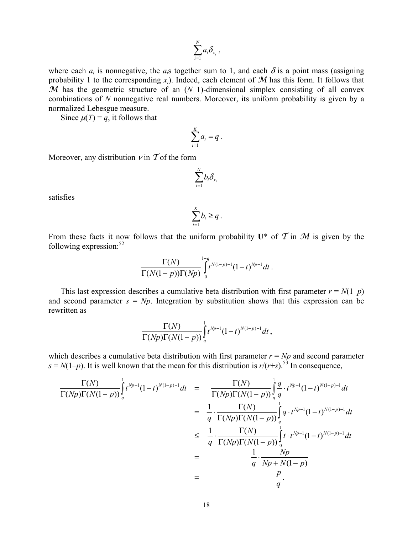$$
\sum_{i=1}^N a_i \delta_{x_i},
$$

where each  $a_i$  is nonnegative, the  $a_i$  together sum to 1, and each  $\delta$  is a point mass (assigning probability 1 to the corresponding  $x_i$ ). Indeed, each element of  $M$  has this form. It follows that M has the geometric structure of an  $(N-1)$ -dimensional simplex consisting of all convex combinations of *N* nonnegative real numbers. Moreover, its uniform probability is given by a normalized Lebesgue measure.

Since  $\mu(T) = q$ , it follows that

$$
\sum_{i=1}^K a_i = q.
$$

Moreover, any distribution  $\nu$  in  $\mathcal T$  of the form

$$
\sum_{i=1}^N b_i \mathcal{S}_{_{\! x_i}}
$$

satisfies

$$
\sum_{i=1}^K b_i \geq q.
$$

From these facts it now follows that the uniform probability  $U^*$  of  $\mathcal T$  in  $\mathcal M$  is given by the following expression: $52$ 

$$
\frac{\Gamma(N)}{\Gamma(N(1-p))\Gamma(Np)}\int_{0}^{1-q}t^{N(1-p)-1}(1-t)^{Np-1}dt.
$$

This last expression describes a cumulative beta distribution with first parameter  $r = N(1-p)$ and second parameter  $s = Np$ . Integration by substitution shows that this expression can be rewritten as

$$
\frac{\Gamma(N)}{\Gamma(Np)\Gamma(N(1-p))}\int_q^1 t^{Np-1}(1-t)^{N(1-p)-1}dt\,,
$$

which describes a cumulative beta distribution with first parameter  $r = Np$  and second parameter  $s = N(1-p)$ . It is well known that the mean for this distribution is  $r/(r+s)$ .<sup>53</sup> In consequence,

$$
\frac{\Gamma(N)}{\Gamma(Np)\Gamma(N(1-p))}\int_{q}^{1} t^{Np-1}(1-t)^{N(1-p)-1}dt = \frac{\Gamma(N)}{\Gamma(Np)\Gamma(N(1-p))}\int_{q}^{1} \frac{q}{q} \cdot t^{Np-1}(1-t)^{N(1-p)-1}dt \n= \frac{1}{q} \cdot \frac{\Gamma(N)}{\Gamma(Np)\Gamma(N(1-p))}\int_{q}^{1} q \cdot t^{Np-1}(1-t)^{N(1-p)-1}dt \n\leq \frac{1}{q} \cdot \frac{\Gamma(N)}{\Gamma(Np)\Gamma(N(1-p))}\int_{0}^{1} t \cdot t^{Np-1}(1-t)^{N(1-p)-1}dt \n= \frac{1}{q} \cdot \frac{Np}{Np+N(1-p)} \n= \frac{p}{q}.
$$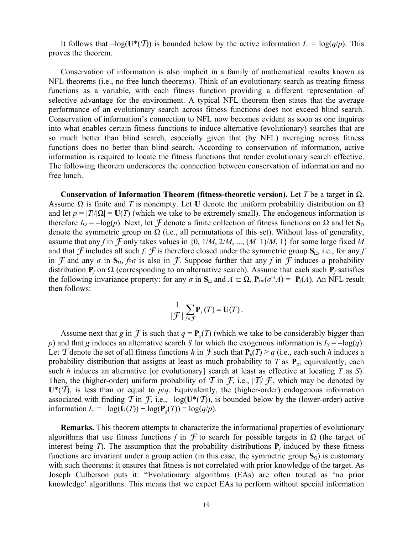It follows that  $-\log(U^*(\mathcal{T}))$  is bounded below by the active information  $I_+ = \log(q/p)$ . This proves the theorem.

Conservation of information is also implicit in a family of mathematical results known as NFL theorems (i.e., no free lunch theorems). Think of an evolutionary search as treating fitness functions as a variable, with each fitness function providing a different representation of selective advantage for the environment. A typical NFL theorem then states that the average performance of an evolutionary search across fitness functions does not exceed blind search. Conservation of information's connection to NFL now becomes evident as soon as one inquires into what enables certain fitness functions to induce alternative (evolutionary) searches that are so much better than blind search, especially given that (by NFL) averaging across fitness functions does no better than blind search. According to conservation of information, active information is required to locate the fitness functions that render evolutionary search effective. The following theorem underscores the connection between conservation of information and no free lunch.

**Conservation of Information Theorem (fitness-theoretic version).** Let *T* be a target in Ω. Assume  $\Omega$  is finite and *T* is nonempty. Let **U** denote the uniform probability distribution on  $\Omega$ and let  $p = |T|/|\Omega| = U(T)$  (which we take to be extremely small). The endogenous information is therefore  $I_0 = -\log(p)$ . Next, let *F* denote a finite collection of fitness functions on Ω and let S<sub>0</sub> denote the symmetric group on  $\Omega$  (i.e., all permutations of this set). Without loss of generality, assume that any *f* in  $\mathcal F$  only takes values in {0, 1/*M*, 2/*M*, ...,  $(M-1)/M$ , 1} for some large fixed *M* and that *F* includes all such *f*. *f* is therefore closed under the symmetric group  $\mathbf{S}_{\Omega}$ , i.e., for any *f* in F and any  $\sigma$  in  $S_{\Omega}$ ,  $f \circ \sigma$  is also in F. Suppose further that any f in F induces a probability distribution  $P_f$  on  $\Omega$  (corresponding to an alternative search). Assume that each such  $P_f$  satisfies the following invariance property: for any  $\sigma$  in  $S_\Omega$  and  $A \subset \Omega$ ,  $P_{f \circ \sigma}(\sigma^{-1}A) = P_{f}(A)$ . An NFL result then follows:

$$
\frac{1}{|\mathcal{F}|}\sum_{f\in\mathcal{F}}\mathbf{P}_f(T)=\mathbf{U}(T).
$$

Assume next that *g* in *f* is such that  $q = P_g(T)$  (which we take to be considerably bigger than *p*) and that *g* induces an alternative search *S* for which the exogenous information is  $I_s = -\log(q)$ . Let T denote the set of all fitness functions *h* in F such that  $P_h(T) \ge q$  (i.e., each such *h* induces a probability distribution that assigns at least as much probability to *T* as **P***g*; equivalently, each such *h* induces an alternative [or evolutionary] search at least as effective at locating *T* as *S*). Then, the (higher-order) uniform probability of T in F, i.e.,  $|\mathcal{I}||\mathcal{F}|$ , which may be denoted by  $U^*(\mathcal{T})$ , is less than or equal to  $p/q$ . Equivalently, the (higher-order) endogenous information associated with finding  $\mathcal T$  in  $\mathcal F$ , i.e.,  $-\log(\mathbf U^*(\mathcal T))$ , is bounded below by the (lower-order) active information  $I_+ = -\log(\mathbf{U}(T)) + \log(\mathbf{P}_e(T)) = \log(q/p)$ .

**Remarks.** This theorem attempts to characterize the informational properties of evolutionary algorithms that use fitness functions *f* in  $\mathcal F$  to search for possible targets in  $\Omega$  (the target of interest being *T*). The assumption that the probability distributions  $P_f$  induced by these fitness functions are invariant under a group action (in this case, the symmetric group  $S<sub>Q</sub>$ ) is customary with such theorems: it ensures that fitness is not correlated with prior knowledge of the target. As Joseph Culberson puts it: "Evolutionary algorithms (EAs) are often touted as 'no prior knowledge' algorithms. This means that we expect EAs to perform without special information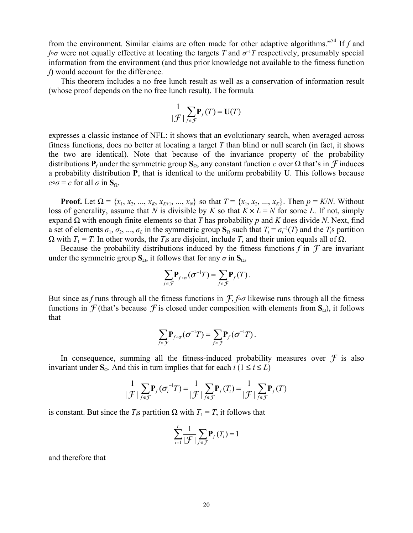from the environment. Similar claims are often made for other adaptive algorithms."54 If *f* and *f* $\sigma$ <sup>*o*</sup>*σ* were not equally effective at locating the targets *T* and  $\sigma$ <sup>-1</sup>*T* respectively, presumably special information from the environment (and thus prior knowledge not available to the fitness function *f*) would account for the difference.

This theorem includes a no free lunch result as well as a conservation of information result (whose proof depends on the no free lunch result). The formula

$$
\frac{1}{|\mathcal{F}|}\sum_{f\in\mathcal{F}}\mathbf{P}_f(T)=\mathbf{U}(T)
$$

expresses a classic instance of NFL: it shows that an evolutionary search, when averaged across fitness functions, does no better at locating a target *T* than blind or null search (in fact, it shows the two are identical). Note that because of the invariance property of the probability distributions **P**<sub>*f*</sub> under the symmetric group  $S_\Omega$ , any constant function *c* over  $\Omega$  that's in *F* induces a probability distribution  $P_c$  that is identical to the uniform probability **U**. This follows because  $c \circ \sigma = c$  for all  $\sigma$  in **S**<sub>Ω</sub>.

**Proof.** Let  $\Omega = \{x_1, x_2, ..., x_K, x_{K+1}, ..., x_N\}$  so that  $T = \{x_1, x_2, ..., x_K\}$ . Then  $p = K/N$ . Without loss of generality, assume that *N* is divisible by *K* so that  $K \times L = N$  for some *L*. If not, simply expand Ω with enough finite elements so that *T* has probability *p* and *K* does divide *N*. Next, find a set of elements  $\sigma_1, \sigma_2, ..., \sigma_L$  in the symmetric group  $S_\Omega$  such that  $T_i = \sigma_i^{-1}(T)$  and the  $T_i$ s partition  $Ω$  with *T*<sub>1</sub> = *T*. In other words, the *T<sub>i</sub>*s are disjoint, include *T*, and their union equals all of  $Ω$ .

Because the probability distributions induced by the fitness functions  $f$  in  $\mathcal F$  are invariant under the symmetric group  $S_Ω$ , it follows that for any *σ* in  $S_Ω$ ,

$$
\sum_{f \in \mathcal{F}} \mathbf{P}_{f \circ \sigma}(\sigma^{-1}T) = \sum_{f \in \mathcal{F}} \mathbf{P}_f(T).
$$

But since as *f* runs through all the fitness functions in  $f, f \circ \sigma$  likewise runs through all the fitness functions in  $\mathcal F$  (that's because  $\mathcal F$  is closed under composition with elements from  $\mathbf S_{\Omega}$ ), it follows that

$$
\sum_{f \in \mathcal{F}} \mathbf{P}_{f \circ \sigma}(\sigma^{-1}T) = \sum_{f \in \mathcal{F}} \mathbf{P}_f(\sigma^{-1}T).
$$

In consequence, summing all the fitness-induced probability measures over  $\mathcal F$  is also invariant under  $S_\Omega$ . And this in turn implies that for each *i* (1 ≤ *i* ≤ *L*)

$$
\frac{1}{|\mathcal{F}|}\sum_{f\in\mathcal{F}}\mathbf{P}_f(\sigma_i^{-1}T)=\frac{1}{|\mathcal{F}|}\sum_{f\in\mathcal{F}}\mathbf{P}_f(T_i)=\frac{1}{|\mathcal{F}|}\sum_{f\in\mathcal{F}}\mathbf{P}_f(T)
$$

is constant. But since the *T<sub>i</sub>*s partition  $\Omega$  with  $T_1 = T$ , it follows that

$$
\sum_{i=1}^{L} \frac{1}{|\mathcal{F}|} \sum_{f \in \mathcal{F}} \mathbf{P}_f(T_i) = 1
$$

and therefore that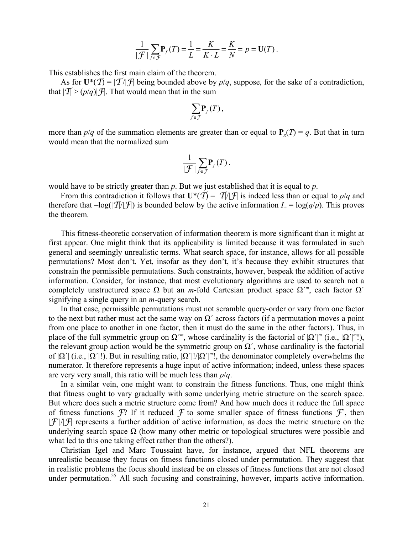$$
\frac{1}{|\mathcal{F}|}\sum_{f\in\mathcal{F}}\mathbf{P}_f(T)=\frac{1}{L}=\frac{K}{K\cdot L}=\frac{K}{N}=p=\mathbf{U}(T).
$$

This establishes the first main claim of the theorem.

As for  $U^*(\mathcal{T}) = |\mathcal{T}| |\mathcal{T}|$  being bounded above by  $p/q$ , suppose, for the sake of a contradiction, that  $|\mathcal{T}| > (p/q)|\mathcal{F}|$ . That would mean that in the sum

$$
\sum_{f\in\mathcal{F}}\mathbf{P}_f(T)\,,
$$

more than  $p/q$  of the summation elements are greater than or equal to  $P_q(T) = q$ . But that in turn would mean that the normalized sum

$$
\frac{1}{|\mathcal{F}|}\sum_{f\in\mathcal{F}}\mathbf{P}_f(T).
$$

would have to be strictly greater than *p*. But we just established that it is equal to *p*.

From this contradiction it follows that  $\mathbf{U}^*(\mathcal{T}) = |\mathcal{T}|/|\mathcal{T}|$  is indeed less than or equal to  $p/q$  and therefore that  $-\log(|\mathcal{T}|/|\mathcal{T}|)$  is bounded below by the active information  $I_+ = \log(q/p)$ . This proves the theorem.

This fitness-theoretic conservation of information theorem is more significant than it might at first appear. One might think that its applicability is limited because it was formulated in such general and seemingly unrealistic terms. What search space, for instance, allows for all possible permutations? Most don't. Yet, insofar as they don't, it's because they exhibit structures that constrain the permissible permutations. Such constraints, however, bespeak the addition of active information. Consider, for instance, that most evolutionary algorithms are used to search not a completely unstructured space  $\Omega$  but an *m*-fold Cartesian product space  $\Omega^m$ , each factor  $\Omega^r$ signifying a single query in an *m*-query search.

In that case, permissible permutations must not scramble query-order or vary from one factor to the next but rather must act the same way on  $\Omega'$  across factors (if a permutation moves a point from one place to another in one factor, then it must do the same in the other factors). Thus, in place of the full symmetric group on  $\Omega^m$ , whose cardinality is the factorial of  $|\Omega'|^m$  (i.e.,  $|\Omega'|^m$ !), the relevant group action would be the symmetric group on  $\Omega'$ , whose cardinality is the factorial of |Ω´| (i.e., |Ω´|!). But in resulting ratio, |Ω´|!/|Ω´|*<sup>m</sup>*!, the denominator completely overwhelms the numerator. It therefore represents a huge input of active information; indeed, unless these spaces are very very small, this ratio will be much less than *p*/*q*.

In a similar vein, one might want to constrain the fitness functions. Thus, one might think that fitness ought to vary gradually with some underlying metric structure on the search space. But where does such a metric structure come from? And how much does it reduce the full space of fitness functions  $\mathcal{F}$ ? If it reduced  $\mathcal F$  to some smaller space of fitness functions  $\mathcal F$ , then  $|f'(t)|$  represents a further addition of active information, as does the metric structure on the underlying search space  $\Omega$  (how many other metric or topological structures were possible and what led to this one taking effect rather than the others?).

Christian Igel and Marc Toussaint have, for instance, argued that NFL theorems are unrealistic because they focus on fitness functions closed under permutation. They suggest that in realistic problems the focus should instead be on classes of fitness functions that are not closed under permutation.<sup>55</sup> All such focusing and constraining, however, imparts active information.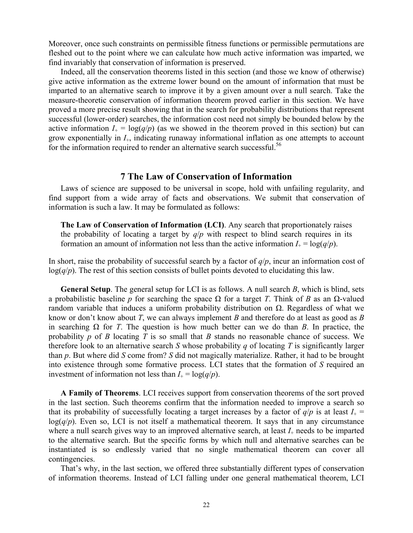Moreover, once such constraints on permissible fitness functions or permissible permutations are fleshed out to the point where we can calculate how much active information was imparted, we find invariably that conservation of information is preserved.

Indeed, all the conservation theorems listed in this section (and those we know of otherwise) give active information as the extreme lower bound on the amount of information that must be imparted to an alternative search to improve it by a given amount over a null search. Take the measure-theoretic conservation of information theorem proved earlier in this section. We have proved a more precise result showing that in the search for probability distributions that represent successful (lower-order) searches, the information cost need not simply be bounded below by the active information  $I_+ = \log(q/p)$  (as we showed in the theorem proved in this section) but can grow exponentially in *I*+, indicating runaway informational inflation as one attempts to account for the information required to render an alternative search successful.<sup>56</sup>

## **7 The Law of Conservation of Information**

Laws of science are supposed to be universal in scope, hold with unfailing regularity, and find support from a wide array of facts and observations. We submit that conservation of information is such a law. It may be formulated as follows:

**The Law of Conservation of Information (LCI)**. Any search that proportionately raises the probability of locating a target by  $q/p$  with respect to blind search requires in its formation an amount of information not less than the active information  $I_+ = \log(q/p)$ .

In short, raise the probability of successful search by a factor of *q*/*p*, incur an information cost of log(*q*/*p*). The rest of this section consists of bullet points devoted to elucidating this law.

**General Setup**. The general setup for LCI is as follows. A null search *B*, which is blind, sets a probabilistic baseline *p* for searching the space Ω for a target *T*. Think of *B* as an Ω-valued random variable that induces a uniform probability distribution on Ω. Regardless of what we know or don't know about *T*, we can always implement *B* and therefore do at least as good as *B* in searching  $\Omega$  for *T*. The question is how much better can we do than *B*. In practice, the probability *p* of *B* locating *T* is so small that *B* stands no reasonable chance of success. We therefore look to an alternative search *S* whose probability *q* of locating *T* is significantly larger than *p*. But where did *S* come from? *S* did not magically materialize. Rather, it had to be brought into existence through some formative process. LCI states that the formation of *S* required an investment of information not less than  $I_+ = \log(q/p)$ .

**A Family of Theorems**. LCI receives support from conservation theorems of the sort proved in the last section. Such theorems confirm that the information needed to improve a search so that its probability of successfully locating a target increases by a factor of  $q/p$  is at least  $I_+$  =  $log(q/p)$ . Even so, LCI is not itself a mathematical theorem. It says that in any circumstance where a null search gives way to an improved alternative search, at least  $I_+$  needs to be imparted to the alternative search. But the specific forms by which null and alternative searches can be instantiated is so endlessly varied that no single mathematical theorem can cover all contingencies.

That's why, in the last section, we offered three substantially different types of conservation of information theorems. Instead of LCI falling under one general mathematical theorem, LCI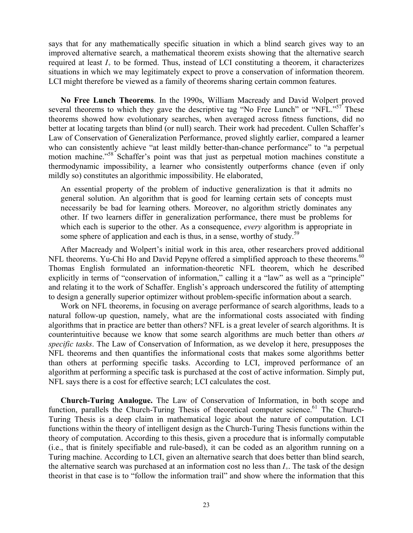says that for any mathematically specific situation in which a blind search gives way to an improved alternative search, a mathematical theorem exists showing that the alternative search required at least  $I_{+}$  to be formed. Thus, instead of LCI constituting a theorem, it characterizes situations in which we may legitimately expect to prove a conservation of information theorem. LCI might therefore be viewed as a family of theorems sharing certain common features.

**No Free Lunch Theorems**. In the 1990s, William Macready and David Wolpert proved several theorems to which they gave the descriptive tag "No Free Lunch" or "NFL."<sup>57</sup> These theorems showed how evolutionary searches, when averaged across fitness functions, did no better at locating targets than blind (or null) search. Their work had precedent. Cullen Schaffer's Law of Conservation of Generalization Performance, proved slightly earlier, compared a learner who can consistently achieve "at least mildly better-than-chance performance" to "a perpetual motion machine."58 Schaffer's point was that just as perpetual motion machines constitute a thermodynamic impossibility, a learner who consistently outperforms chance (even if only mildly so) constitutes an algorithmic impossibility. He elaborated,

An essential property of the problem of inductive generalization is that it admits no general solution. An algorithm that is good for learning certain sets of concepts must necessarily be bad for learning others. Moreover, no algorithm strictly dominates any other. If two learners differ in generalization performance, there must be problems for which each is superior to the other. As a consequence, *every* algorithm is appropriate in some sphere of application and each is thus, in a sense, worthy of study.<sup>59</sup>

After Macready and Wolpert's initial work in this area, other researchers proved additional NFL theorems. Yu-Chi Ho and David Pepyne offered a simplified approach to these theorems.<sup>60</sup> Thomas English formulated an information-theoretic NFL theorem, which he described explicitly in terms of "conservation of information," calling it a "law" as well as a "principle" and relating it to the work of Schaffer. English's approach underscored the futility of attempting to design a generally superior optimizer without problem-specific information about a search.

Work on NFL theorems, in focusing on average performance of search algorithms, leads to a natural follow-up question, namely, what are the informational costs associated with finding algorithms that in practice are better than others? NFL is a great leveler of search algorithms. It is counterintuitive because we know that some search algorithms are much better than others *at specific tasks*. The Law of Conservation of Information, as we develop it here, presupposes the NFL theorems and then quantifies the informational costs that makes some algorithms better than others at performing specific tasks. According to LCI, improved performance of an algorithm at performing a specific task is purchased at the cost of active information. Simply put, NFL says there is a cost for effective search; LCI calculates the cost.

**Church-Turing Analogue.** The Law of Conservation of Information, in both scope and function, parallels the Church-Turing Thesis of theoretical computer science.<sup>61</sup> The Church-Turing Thesis is a deep claim in mathematical logic about the nature of computation. LCI functions within the theory of intelligent design as the Church-Turing Thesis functions within the theory of computation. According to this thesis, given a procedure that is informally computable (i.e., that is finitely specifiable and rule-based), it can be coded as an algorithm running on a Turing machine. According to LCI, given an alternative search that does better than blind search, the alternative search was purchased at an information cost no less than *I*+. The task of the design theorist in that case is to "follow the information trail" and show where the information that this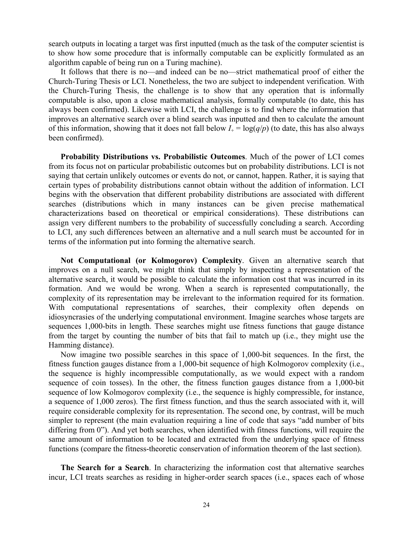search outputs in locating a target was first inputted (much as the task of the computer scientist is to show how some procedure that is informally computable can be explicitly formulated as an algorithm capable of being run on a Turing machine).

It follows that there is no—and indeed can be no—strict mathematical proof of either the Church-Turing Thesis or LCI. Nonetheless, the two are subject to independent verification. With the Church-Turing Thesis, the challenge is to show that any operation that is informally computable is also, upon a close mathematical analysis, formally computable (to date, this has always been confirmed). Likewise with LCI, the challenge is to find where the information that improves an alternative search over a blind search was inputted and then to calculate the amount of this information, showing that it does not fall below  $I_+ = \log(q/p)$  (to date, this has also always been confirmed).

**Probability Distributions vs. Probabilistic Outcomes**. Much of the power of LCI comes from its focus not on particular probabilistic outcomes but on probability distributions. LCI is not saying that certain unlikely outcomes or events do not, or cannot, happen. Rather, it is saying that certain types of probability distributions cannot obtain without the addition of information. LCI begins with the observation that different probability distributions are associated with different searches (distributions which in many instances can be given precise mathematical characterizations based on theoretical or empirical considerations). These distributions can assign very different numbers to the probability of successfully concluding a search. According to LCI, any such differences between an alternative and a null search must be accounted for in terms of the information put into forming the alternative search.

**Not Computational (or Kolmogorov) Complexity**. Given an alternative search that improves on a null search, we might think that simply by inspecting a representation of the alternative search, it would be possible to calculate the information cost that was incurred in its formation. And we would be wrong. When a search is represented computationally, the complexity of its representation may be irrelevant to the information required for its formation. With computational representations of searches, their complexity often depends on idiosyncrasies of the underlying computational environment. Imagine searches whose targets are sequences 1,000-bits in length. These searches might use fitness functions that gauge distance from the target by counting the number of bits that fail to match up (i.e., they might use the Hamming distance).

Now imagine two possible searches in this space of 1,000-bit sequences. In the first, the fitness function gauges distance from a 1,000-bit sequence of high Kolmogorov complexity (i.e., the sequence is highly incompressible computationally, as we would expect with a random sequence of coin tosses). In the other, the fitness function gauges distance from a 1,000-bit sequence of low Kolmogorov complexity (i.e., the sequence is highly compressible, for instance, a sequence of 1,000 zeros). The first fitness function, and thus the search associated with it, will require considerable complexity for its representation. The second one, by contrast, will be much simpler to represent (the main evaluation requiring a line of code that says "add number of bits differing from 0"). And yet both searches, when identified with fitness functions, will require the same amount of information to be located and extracted from the underlying space of fitness functions (compare the fitness-theoretic conservation of information theorem of the last section).

**The Search for a Search**. In characterizing the information cost that alternative searches incur, LCI treats searches as residing in higher-order search spaces (i.e., spaces each of whose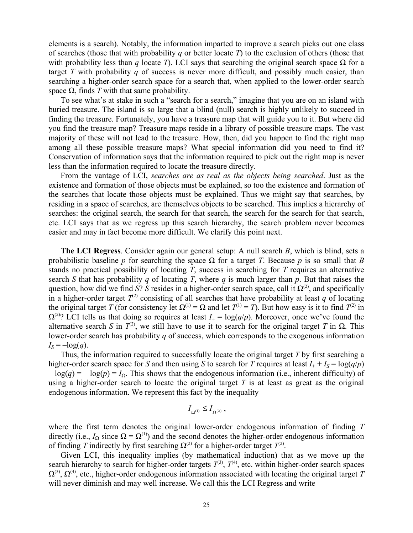elements is a search). Notably, the information imparted to improve a search picks out one class of searches (those that with probability *q* or better locate *T*) to the exclusion of others (those that with probability less than *q* locate *T*). LCI says that searching the original search space  $\Omega$  for a target *T* with probability *q* of success is never more difficult, and possibly much easier, than searching a higher-order search space for a search that, when applied to the lower-order search space  $\Omega$ , finds *T* with that same probability.

To see what's at stake in such a "search for a search," imagine that you are on an island with buried treasure. The island is so large that a blind (null) search is highly unlikely to succeed in finding the treasure. Fortunately, you have a treasure map that will guide you to it. But where did you find the treasure map? Treasure maps reside in a library of possible treasure maps. The vast majority of these will not lead to the treasure. How, then, did you happen to find the right map among all these possible treasure maps? What special information did you need to find it? Conservation of information says that the information required to pick out the right map is never less than the information required to locate the treasure directly.

From the vantage of LCI, *searches are as real as the objects being searched*. Just as the existence and formation of those objects must be explained, so too the existence and formation of the searches that locate those objects must be explained. Thus we might say that searches, by residing in a space of searches, are themselves objects to be searched. This implies a hierarchy of searches: the original search, the search for that search, the search for the search for that search, etc. LCI says that as we regress up this search hierarchy, the search problem never becomes easier and may in fact become more difficult. We clarify this point next.

**The LCI Regress**. Consider again our general setup: A null search *B*, which is blind, sets a probabilistic baseline *p* for searching the space  $\Omega$  for a target *T*. Because *p* is so small that *B* stands no practical possibility of locating *T*, success in searching for *T* requires an alternative search *S* that has probability *q* of locating *T*, where *q* is much larger than *p*. But that raises the question, how did we find *S*? *S* resides in a higher-order search space, call it  $\Omega^{(2)}$ , and specifically in a higher-order target  $T^{(2)}$  consisting of all searches that have probability at least *q* of locating the original target *T* (for consistency let  $\Omega^{(1)} = \Omega$  and let  $T^{(1)} = T$ ). But how easy is it to find  $T^{(2)}$  in  $\Omega^{(2)}$ ? LCI tells us that doing so requires at least  $I_+ = \log(q/p)$ . Moreover, once we've found the alternative search *S* in  $T^{(2)}$ , we still have to use it to search for the original target *T* in  $\Omega$ . This lower-order search has probability *q* of success, which corresponds to the exogenous information  $I_s = -\log(q)$ .

Thus, the information required to successfully locate the original target *T* by first searching a higher-order search space for *S* and then using *S* to search for *T* requires at least  $I_+ + I_s = \log(q/p)$  $-\log(q) = -\log(p) = I_0$ . This shows that the endogenous information (i.e., inherent difficulty) of using a higher-order search to locate the original target  $T$  is at least as great as the original endogenous information. We represent this fact by the inequality

$$
I_{\Omega^{(\mathrm{l})}}\leq I_{\Omega^{(\mathrm{2})}}\,,
$$

where the first term denotes the original lower-order endogenous information of finding *T* directly (i.e.,  $I_{\Omega}$  since  $\Omega = \Omega^{(1)}$ ) and the second denotes the higher-order endogenous information of finding *T* indirectly by first searching  $\Omega^{(2)}$  for a higher-order target  $T^{(2)}$ .

Given LCI, this inequality implies (by mathematical induction) that as we move up the search hierarchy to search for higher-order targets  $T^{(3)}$ ,  $T^{(4)}$ , etc. within higher-order search spaces  $\Omega^{(3)}$ ,  $\Omega^{(4)}$ , etc., higher-order endogenous information associated with locating the original target *T* will never diminish and may well increase. We call this the LCI Regress and write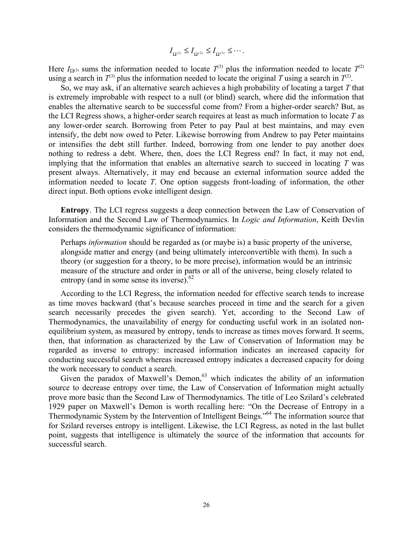$$
I_{\Omega^{(\mathrm{l})}}\leq I_{\Omega^{(\mathrm{2})}}\leq I_{\Omega^{(\mathrm{3})}}\leq\cdots.
$$

Here  $I_{\Omega^{(3)}}$  sums the information needed to locate  $T^{(3)}$  plus the information needed to locate  $T^{(2)}$ using a search in  $T^{(3)}$  plus the information needed to locate the original *T* using a search in  $T^{(2)}$ .

So, we may ask, if an alternative search achieves a high probability of locating a target *T* that is extremely improbable with respect to a null (or blind) search, where did the information that enables the alternative search to be successful come from? From a higher-order search? But, as the LCI Regress shows, a higher-order search requires at least as much information to locate *T* as any lower-order search. Borrowing from Peter to pay Paul at best maintains, and may even intensify, the debt now owed to Peter. Likewise borrowing from Andrew to pay Peter maintains or intensifies the debt still further. Indeed, borrowing from one lender to pay another does nothing to redress a debt. Where, then, does the LCI Regress end? In fact, it may not end, implying that the information that enables an alternative search to succeed in locating *T* was present always. Alternatively, it may end because an external information source added the information needed to locate *T*. One option suggests front-loading of information, the other direct input. Both options evoke intelligent design.

**Entropy**. The LCI regress suggests a deep connection between the Law of Conservation of Information and the Second Law of Thermodynamics. In *Logic and Information*, Keith Devlin considers the thermodynamic significance of information:

Perhaps *information* should be regarded as (or maybe is) a basic property of the universe, alongside matter and energy (and being ultimately interconvertible with them). In such a theory (or suggestion for a theory, to be more precise), information would be an intrinsic measure of the structure and order in parts or all of the universe, being closely related to entropy (and in some sense its inverse). $62$ 

According to the LCI Regress, the information needed for effective search tends to increase as time moves backward (that's because searches proceed in time and the search for a given search necessarily precedes the given search). Yet, according to the Second Law of Thermodynamics, the unavailability of energy for conducting useful work in an isolated nonequilibrium system, as measured by entropy, tends to increase as times moves forward. It seems, then, that information as characterized by the Law of Conservation of Information may be regarded as inverse to entropy: increased information indicates an increased capacity for conducting successful search whereas increased entropy indicates a decreased capacity for doing the work necessary to conduct a search.

Given the paradox of Maxwell's Demon,  $63$  which indicates the ability of an information source to decrease entropy over time, the Law of Conservation of Information might actually prove more basic than the Second Law of Thermodynamics. The title of Leo Szilard's celebrated 1929 paper on Maxwell's Demon is worth recalling here: "On the Decrease of Entropy in a Thermodynamic System by the Intervention of Intelligent Beings."64 The information source that for Szilard reverses entropy is intelligent. Likewise, the LCI Regress, as noted in the last bullet point, suggests that intelligence is ultimately the source of the information that accounts for successful search.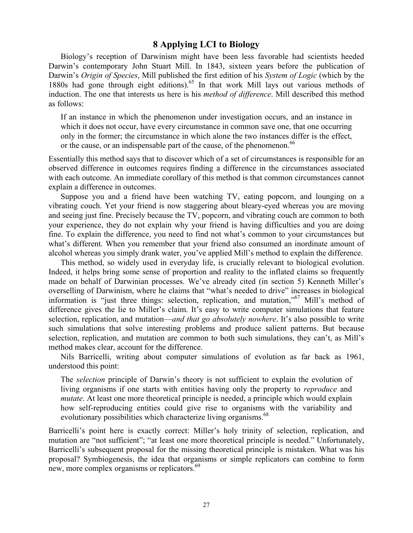# **8 Applying LCI to Biology**

Biology's reception of Darwinism might have been less favorable had scientists heeded Darwin's contemporary John Stuart Mill. In 1843, sixteen years before the publication of Darwin's *Origin of Species*, Mill published the first edition of his *System of Logic* (which by the 1880s had gone through eight editions).<sup>65</sup> In that work Mill lays out various methods of induction. The one that interests us here is his *method of difference*. Mill described this method as follows:

If an instance in which the phenomenon under investigation occurs, and an instance in which it does not occur, have every circumstance in common save one, that one occurring only in the former; the circumstance in which alone the two instances differ is the effect, or the cause, or an indispensable part of the cause, of the phenomenon.<sup>66</sup>

Essentially this method says that to discover which of a set of circumstances is responsible for an observed difference in outcomes requires finding a difference in the circumstances associated with each outcome. An immediate corollary of this method is that common circumstances cannot explain a difference in outcomes.

Suppose you and a friend have been watching TV, eating popcorn, and lounging on a vibrating couch. Yet your friend is now staggering about bleary-eyed whereas you are moving and seeing just fine. Precisely because the TV, popcorn, and vibrating couch are common to both your experience, they do not explain why your friend is having difficulties and you are doing fine. To explain the difference, you need to find not what's common to your circumstances but what's different. When you remember that your friend also consumed an inordinate amount of alcohol whereas you simply drank water, you've applied Mill's method to explain the difference.

This method, so widely used in everyday life, is crucially relevant to biological evolution. Indeed, it helps bring some sense of proportion and reality to the inflated claims so frequently made on behalf of Darwinian processes. We've already cited (in section 5) Kenneth Miller's overselling of Darwinism, where he claims that "what's needed to drive" increases in biological information is "just three things: selection, replication, and mutation,"67 Mill's method of difference gives the lie to Miller's claim. It's easy to write computer simulations that feature selection, replication, and mutation—*and that go absolutely nowhere*. It's also possible to write such simulations that solve interesting problems and produce salient patterns. But because selection, replication, and mutation are common to both such simulations, they can't, as Mill's method makes clear, account for the difference.

Nils Barricelli, writing about computer simulations of evolution as far back as 1961, understood this point:

The *selection* principle of Darwin's theory is not sufficient to explain the evolution of living organisms if one starts with entities having only the property to *reproduce* and *mutate*. At least one more theoretical principle is needed, a principle which would explain how self-reproducing entities could give rise to organisms with the variability and evolutionary possibilities which characterize living organisms.<sup>68</sup>

Barricelli's point here is exactly correct: Miller's holy trinity of selection, replication, and mutation are "not sufficient"; "at least one more theoretical principle is needed." Unfortunately, Barricelli's subsequent proposal for the missing theoretical principle is mistaken. What was his proposal? Symbiogenesis, the idea that organisms or simple replicators can combine to form new, more complex organisms or replicators.<sup>69</sup>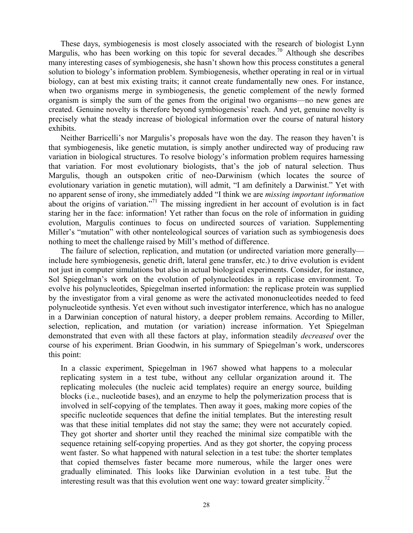These days, symbiogenesis is most closely associated with the research of biologist Lynn Margulis, who has been working on this topic for several decades.<sup>70</sup> Although she describes many interesting cases of symbiogenesis, she hasn't shown how this process constitutes a general solution to biology's information problem. Symbiogenesis, whether operating in real or in virtual biology, can at best mix existing traits; it cannot create fundamentally new ones. For instance, when two organisms merge in symbiogenesis, the genetic complement of the newly formed organism is simply the sum of the genes from the original two organisms—no new genes are created. Genuine novelty is therefore beyond symbiogenesis' reach. And yet, genuine novelty is precisely what the steady increase of biological information over the course of natural history exhibits.

Neither Barricelli's nor Margulis's proposals have won the day. The reason they haven't is that symbiogenesis, like genetic mutation, is simply another undirected way of producing raw variation in biological structures. To resolve biology's information problem requires harnessing that variation. For most evolutionary biologists, that's the job of natural selection. Thus Margulis, though an outspoken critic of neo-Darwinism (which locates the source of evolutionary variation in genetic mutation), will admit, "I am definitely a Darwinist." Yet with no apparent sense of irony, she immediately added "I think we are *missing important information* about the origins of variation."71 The missing ingredient in her account of evolution is in fact staring her in the face: information! Yet rather than focus on the role of information in guiding evolution, Margulis continues to focus on undirected sources of variation. Supplementing Miller's "mutation" with other nonteleological sources of variation such as symbiogenesis does nothing to meet the challenge raised by Mill's method of difference.

The failure of selection, replication, and mutation (or undirected variation more generally include here symbiogenesis, genetic drift, lateral gene transfer, etc.) to drive evolution is evident not just in computer simulations but also in actual biological experiments. Consider, for instance, Sol Spiegelman's work on the evolution of polynucleotides in a replicase environment. To evolve his polynucleotides, Spiegelman inserted information: the replicase protein was supplied by the investigator from a viral genome as were the activated mononucleotides needed to feed polynucleotide synthesis. Yet even without such investigator interference, which has no analogue in a Darwinian conception of natural history, a deeper problem remains. According to Miller, selection, replication, and mutation (or variation) increase information. Yet Spiegelman demonstrated that even with all these factors at play, information steadily *decreased* over the course of his experiment. Brian Goodwin, in his summary of Spiegelman's work, underscores this point:

In a classic experiment, Spiegelman in 1967 showed what happens to a molecular replicating system in a test tube, without any cellular organization around it. The replicating molecules (the nucleic acid templates) require an energy source, building blocks (i.e., nucleotide bases), and an enzyme to help the polymerization process that is involved in self-copying of the templates. Then away it goes, making more copies of the specific nucleotide sequences that define the initial templates. But the interesting result was that these initial templates did not stay the same; they were not accurately copied. They got shorter and shorter until they reached the minimal size compatible with the sequence retaining self-copying properties. And as they got shorter, the copying process went faster. So what happened with natural selection in a test tube: the shorter templates that copied themselves faster became more numerous, while the larger ones were gradually eliminated. This looks like Darwinian evolution in a test tube. But the interesting result was that this evolution went one way: toward greater simplicity.<sup>72</sup>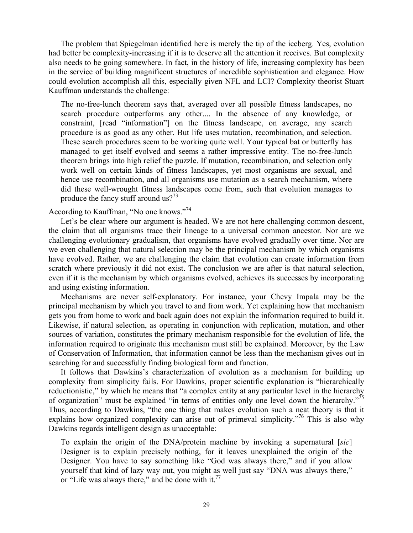The problem that Spiegelman identified here is merely the tip of the iceberg. Yes, evolution had better be complexity-increasing if it is to deserve all the attention it receives. But complexity also needs to be going somewhere. In fact, in the history of life, increasing complexity has been in the service of building magnificent structures of incredible sophistication and elegance. How could evolution accomplish all this, especially given NFL and LCI? Complexity theorist Stuart Kauffman understands the challenge:

The no-free-lunch theorem says that, averaged over all possible fitness landscapes, no search procedure outperforms any other.... In the absence of any knowledge, or constraint, [read "information"] on the fitness landscape, on average, any search procedure is as good as any other. But life uses mutation, recombination, and selection. These search procedures seem to be working quite well. Your typical bat or butterfly has managed to get itself evolved and seems a rather impressive entity. The no-free-lunch theorem brings into high relief the puzzle. If mutation, recombination, and selection only work well on certain kinds of fitness landscapes, yet most organisms are sexual, and hence use recombination, and all organisms use mutation as a search mechanism, where did these well-wrought fitness landscapes come from, such that evolution manages to produce the fancy stuff around us?<sup>73</sup>

According to Kauffman, "No one knows."74

Let's be clear where our argument is headed. We are not here challenging common descent, the claim that all organisms trace their lineage to a universal common ancestor. Nor are we challenging evolutionary gradualism, that organisms have evolved gradually over time. Nor are we even challenging that natural selection may be the principal mechanism by which organisms have evolved. Rather, we are challenging the claim that evolution can create information from scratch where previously it did not exist. The conclusion we are after is that natural selection, even if it is the mechanism by which organisms evolved, achieves its successes by incorporating and using existing information.

Mechanisms are never self-explanatory. For instance, your Chevy Impala may be the principal mechanism by which you travel to and from work. Yet explaining how that mechanism gets you from home to work and back again does not explain the information required to build it. Likewise, if natural selection, as operating in conjunction with replication, mutation, and other sources of variation, constitutes the primary mechanism responsible for the evolution of life, the information required to originate this mechanism must still be explained. Moreover, by the Law of Conservation of Information, that information cannot be less than the mechanism gives out in searching for and successfully finding biological form and function.

It follows that Dawkins's characterization of evolution as a mechanism for building up complexity from simplicity fails. For Dawkins, proper scientific explanation is "hierarchically reductionistic," by which he means that "a complex entity at any particular level in the hierarchy of organization" must be explained "in terms of entities only one level down the hierarchy."<sup>75</sup> Thus, according to Dawkins, "the one thing that makes evolution such a neat theory is that it explains how organized complexity can arise out of primeval simplicity."<sup>76</sup> This is also why Dawkins regards intelligent design as unacceptable:

To explain the origin of the DNA/protein machine by invoking a supernatural [*sic*] Designer is to explain precisely nothing, for it leaves unexplained the origin of the Designer. You have to say something like "God was always there," and if you allow yourself that kind of lazy way out, you might as well just say "DNA was always there," or "Life was always there," and be done with it. $^{77}$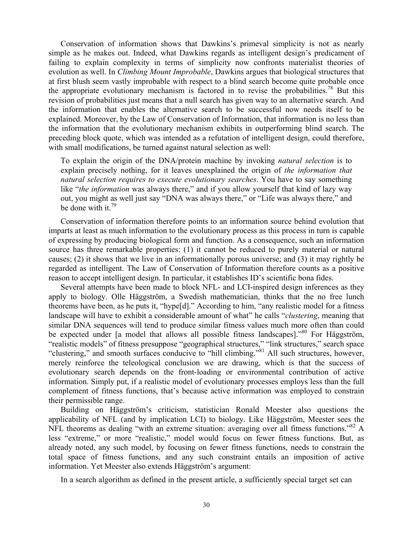Conservation of information shows that Dawkins's primeval simplicity is not as nearly simple as he makes out. Indeed, what Dawkins regards as intelligent design's predicament of failing to explain complexity in terms of simplicity now confronts materialist theories of evolution as well. In *Climbing Mount Improbable*, Dawkins argues that biological structures that at first blush seem vastly improbable with respect to a blind search become quite probable once the appropriate evolutionary mechanism is factored in to revise the probabilities.<sup>78</sup> But this revision of probabilities just means that a null search has given way to an alternative search. And the information that enables the alternative search to be successful now needs itself to be explained. Moreover, by the Law of Conservation of Information, that information is no less than the information that the evolutionary mechanism exhibits in outperforming blind search. The preceding block quote, which was intended as a refutation of intelligent design, could therefore, with small modifications, be turned against natural selection as well:

To explain the origin of the DNA/protein machine by invoking *natural selection* is to explain precisely nothing, for it leaves unexplained the origin of *the information that natural selection requires to execute evolutionary searches*. You have to say something like "*the information* was always there," and if you allow yourself that kind of lazy way out, you might as well just say "DNA was always there," or "Life was always there," and be done with it.<sup>79</sup>

Conservation of information therefore points to an information source behind evolution that imparts at least as much information to the evolutionary process as this process in turn is capable of expressing by producing biological form and function. As a consequence, such an information source has three remarkable properties: (1) it cannot be reduced to purely material or natural causes; (2) it shows that we live in an informationally porous universe; and (3) it may rightly be regarded as intelligent. The Law of Conservation of Information therefore counts as a positive reason to accept intelligent design. In particular, it establishes ID's scientific bona fides.

Several attempts have been made to block NFL- and LCI-inspired design inferences as they apply to biology. Olle Häggström, a Swedish mathematician, thinks that the no free lunch theorems have been, as he puts it, "hype[d]." According to him, "any realistic model for a fitness landscape will have to exhibit a considerable amount of what" he calls "*clustering*, meaning that similar DNA sequences will tend to produce similar fitness values much more often than could be expected under [a model that allows all possible fitness landscapes].<sup>80</sup> For Häggström, "realistic models" of fitness presuppose "geographical structures," "link structures," search space "clustering," and smooth surfaces conducive to "hill climbing."81 All such structures, however, merely reinforce the teleological conclusion we are drawing, which is that the success of evolutionary search depends on the front-loading or environmental contribution of active information. Simply put, if a realistic model of evolutionary processes employs less than the full complement of fitness functions, that's because active information was employed to constrain their permissible range.

Building on Häggström's criticism, statistician Ronald Meester also questions the applicability of NFL (and by implication LCI) to biology. Like Häggström, Meester sees the NFL theorems as dealing "with an extreme situation: averaging over all fitness functions."  $82 A$ less "extreme," or more "realistic," model would focus on fewer fitness functions. But, as already noted, any such model, by focusing on fewer fitness functions, needs to constrain the total space of fitness functions, and any such constraint entails an imposition of active information. Yet Meester also extends Häggström's argument:

In a search algorithm as defined in the present article, a sufficiently special target set can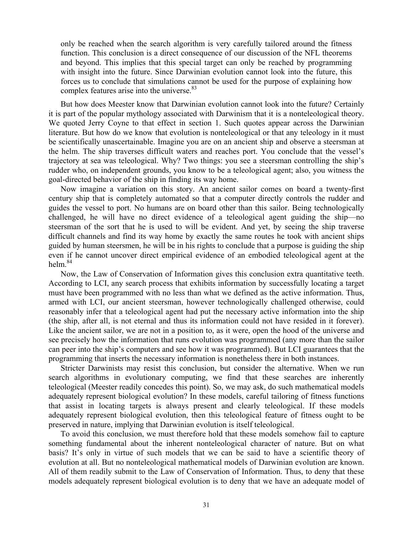only be reached when the search algorithm is very carefully tailored around the fitness function. This conclusion is a direct consequence of our discussion of the NFL theorems and beyond. This implies that this special target can only be reached by programming with insight into the future. Since Darwinian evolution cannot look into the future, this forces us to conclude that simulations cannot be used for the purpose of explaining how complex features arise into the universe.<sup>83</sup>

But how does Meester know that Darwinian evolution cannot look into the future? Certainly it is part of the popular mythology associated with Darwinism that it is a nonteleological theory. We quoted Jerry Coyne to that effect in section 1. Such quotes appear across the Darwinian literature. But how do we know that evolution is nonteleological or that any teleology in it must be scientifically unascertainable. Imagine you are on an ancient ship and observe a steersman at the helm. The ship traverses difficult waters and reaches port. You conclude that the vessel's trajectory at sea was teleological. Why? Two things: you see a steersman controlling the ship's rudder who, on independent grounds, you know to be a teleological agent; also, you witness the goal-directed behavior of the ship in finding its way home.

Now imagine a variation on this story. An ancient sailor comes on board a twenty-first century ship that is completely automated so that a computer directly controls the rudder and guides the vessel to port. No humans are on board other than this sailor. Being technologically challenged, he will have no direct evidence of a teleological agent guiding the ship—no steersman of the sort that he is used to will be evident. And yet, by seeing the ship traverse difficult channels and find its way home by exactly the same routes he took with ancient ships guided by human steersmen, he will be in his rights to conclude that a purpose is guiding the ship even if he cannot uncover direct empirical evidence of an embodied teleological agent at the helm  $84$ 

Now, the Law of Conservation of Information gives this conclusion extra quantitative teeth. According to LCI, any search process that exhibits information by successfully locating a target must have been programmed with no less than what we defined as the active information. Thus, armed with LCI, our ancient steersman, however technologically challenged otherwise, could reasonably infer that a teleological agent had put the necessary active information into the ship (the ship, after all, is not eternal and thus its information could not have resided in it forever). Like the ancient sailor, we are not in a position to, as it were, open the hood of the universe and see precisely how the information that runs evolution was programmed (any more than the sailor can peer into the ship's computers and see how it was programmed). But LCI guarantees that the programming that inserts the necessary information is nonetheless there in both instances.

Stricter Darwinists may resist this conclusion, but consider the alternative. When we run search algorithms in evolutionary computing, we find that these searches are inherently teleological (Meester readily concedes this point). So, we may ask, do such mathematical models adequately represent biological evolution? In these models, careful tailoring of fitness functions that assist in locating targets is always present and clearly teleological. If these models adequately represent biological evolution, then this teleological feature of fitness ought to be preserved in nature, implying that Darwinian evolution is itself teleological.

To avoid this conclusion, we must therefore hold that these models somehow fail to capture something fundamental about the inherent nonteleological character of nature. But on what basis? It's only in virtue of such models that we can be said to have a scientific theory of evolution at all. But no nonteleological mathematical models of Darwinian evolution are known. All of them readily submit to the Law of Conservation of Information. Thus, to deny that these models adequately represent biological evolution is to deny that we have an adequate model of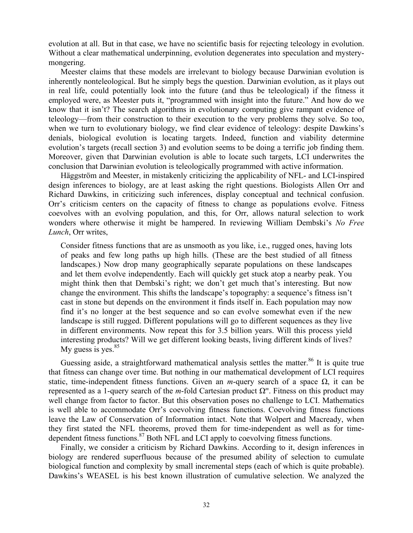evolution at all. But in that case, we have no scientific basis for rejecting teleology in evolution. Without a clear mathematical underpinning, evolution degenerates into speculation and mysterymongering.

Meester claims that these models are irrelevant to biology because Darwinian evolution is inherently nonteleological. But he simply begs the question. Darwinian evolution, as it plays out in real life, could potentially look into the future (and thus be teleological) if the fitness it employed were, as Meester puts it, "programmed with insight into the future." And how do we know that it isn't? The search algorithms in evolutionary computing give rampant evidence of teleology—from their construction to their execution to the very problems they solve. So too, when we turn to evolutionary biology, we find clear evidence of teleology: despite Dawkins's denials, biological evolution is locating targets. Indeed, function and viability determine evolution's targets (recall section 3) and evolution seems to be doing a terrific job finding them. Moreover, given that Darwinian evolution is able to locate such targets, LCI underwrites the conclusion that Darwinian evolution is teleologically programmed with active information.

Häggström and Meester, in mistakenly criticizing the applicability of NFL- and LCI-inspired design inferences to biology, are at least asking the right questions. Biologists Allen Orr and Richard Dawkins, in criticizing such inferences, display conceptual and technical confusion. Orr's criticism centers on the capacity of fitness to change as populations evolve. Fitness coevolves with an evolving population, and this, for Orr, allows natural selection to work wonders where otherwise it might be hampered. In reviewing William Dembski's *No Free Lunch*, Orr writes,

Consider fitness functions that are as unsmooth as you like, i.e., rugged ones, having lots of peaks and few long paths up high hills. (These are the best studied of all fitness landscapes.) Now drop many geographically separate populations on these landscapes and let them evolve independently. Each will quickly get stuck atop a nearby peak. You might think then that Dembski's right; we don't get much that's interesting. But now change the environment. This shifts the landscape's topography: a sequence's fitness isn't cast in stone but depends on the environment it finds itself in. Each population may now find it's no longer at the best sequence and so can evolve somewhat even if the new landscape is still rugged. Different populations will go to different sequences as they live in different environments. Now repeat this for 3.5 billion years. Will this process yield interesting products? Will we get different looking beasts, living different kinds of lives? My guess is yes. $85$ 

Guessing aside, a straightforward mathematical analysis settles the matter.<sup>86</sup> It is quite true that fitness can change over time. But nothing in our mathematical development of LCI requires static, time-independent fitness functions. Given an *m*-query search of a space  $\Omega$ , it can be represented as a 1-query search of the *m*-fold Cartesian product  $Ω<sup>m</sup>$ . Fitness on this product may well change from factor to factor. But this observation poses no challenge to LCI. Mathematics is well able to accommodate Orr's coevolving fitness functions. Coevolving fitness functions leave the Law of Conservation of Information intact. Note that Wolpert and Macready, when they first stated the NFL theorems, proved them for time-independent as well as for timedependent fitness functions. $87$  Both NFL and LCI apply to coevolving fitness functions.

Finally, we consider a criticism by Richard Dawkins. According to it, design inferences in biology are rendered superfluous because of the presumed ability of selection to cumulate biological function and complexity by small incremental steps (each of which is quite probable). Dawkins's WEASEL is his best known illustration of cumulative selection. We analyzed the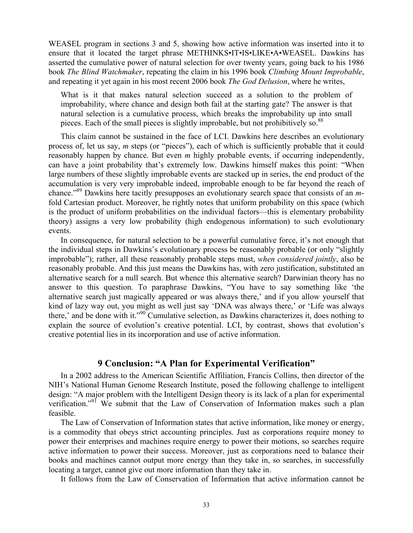WEASEL program in sections 3 and 5, showing how active information was inserted into it to ensure that it located the target phrase METHINKS•IT•IS•LIKE•A•WEASEL. Dawkins has asserted the cumulative power of natural selection for over twenty years, going back to his 1986 book *The Blind Watchmaker*, repeating the claim in his 1996 book *Climbing Mount Improbable*, and repeating it yet again in his most recent 2006 book *The God Delusion*, where he writes,

What is it that makes natural selection succeed as a solution to the problem of improbability, where chance and design both fail at the starting gate? The answer is that natural selection is a cumulative process, which breaks the improbability up into small pieces. Each of the small pieces is slightly improbable, but not prohibitively so.<sup>88</sup>

This claim cannot be sustained in the face of LCI. Dawkins here describes an evolutionary process of, let us say, *m* steps (or "pieces"), each of which is sufficiently probable that it could reasonably happen by chance. But even *m* highly probable events, if occurring independently, can have a joint probability that's extremely low. Dawkins himself makes this point: "When large numbers of these slightly improbable events are stacked up in series, the end product of the accumulation is very very improbable indeed, improbable enough to be far beyond the reach of chance."89 Dawkins here tacitly presupposes an evolutionary search space that consists of an *m*fold Cartesian product. Moreover, he rightly notes that uniform probability on this space (which is the product of uniform probabilities on the individual factors—this is elementary probability theory) assigns a very low probability (high endogenous information) to such evolutionary events.

In consequence, for natural selection to be a powerful cumulative force, it's not enough that the individual steps in Dawkins's evolutionary process be reasonably probable (or only "slightly improbable"); rather, all these reasonably probable steps must, *when considered jointly*, also be reasonably probable. And this just means the Dawkins has, with zero justification, substituted an alternative search for a null search. But whence this alternative search? Darwinian theory has no answer to this question. To paraphrase Dawkins, "You have to say something like 'the alternative search just magically appeared or was always there,' and if you allow yourself that kind of lazy way out, you might as well just say 'DNA was always there,' or 'Life was always there,' and be done with it."90 Cumulative selection, as Dawkins characterizes it, does nothing to explain the source of evolution's creative potential. LCI, by contrast, shows that evolution's creative potential lies in its incorporation and use of active information.

## **9 Conclusion: "A Plan for Experimental Verification"**

In a 2002 address to the American Scientific Affiliation, Francis Collins, then director of the NIH's National Human Genome Research Institute, posed the following challenge to intelligent design: "A major problem with the Intelligent Design theory is its lack of a plan for experimental verification."<sup>91</sup> We submit that the Law of Conservation of Information makes such a plan feasible.

The Law of Conservation of Information states that active information, like money or energy, is a commodity that obeys strict accounting principles. Just as corporations require money to power their enterprises and machines require energy to power their motions, so searches require active information to power their success. Moreover, just as corporations need to balance their books and machines cannot output more energy than they take in, so searches, in successfully locating a target, cannot give out more information than they take in.

It follows from the Law of Conservation of Information that active information cannot be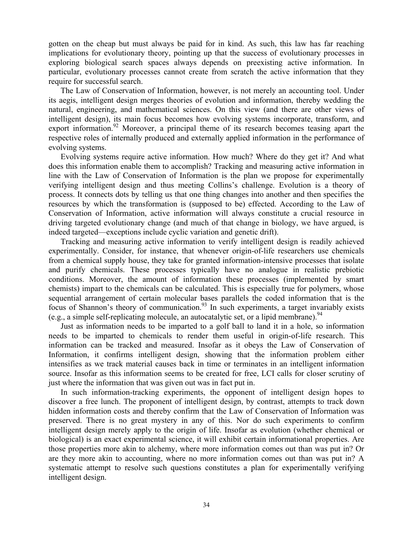gotten on the cheap but must always be paid for in kind. As such, this law has far reaching implications for evolutionary theory, pointing up that the success of evolutionary processes in exploring biological search spaces always depends on preexisting active information. In particular, evolutionary processes cannot create from scratch the active information that they require for successful search.

The Law of Conservation of Information, however, is not merely an accounting tool. Under its aegis, intelligent design merges theories of evolution and information, thereby wedding the natural, engineering, and mathematical sciences. On this view (and there are other views of intelligent design), its main focus becomes how evolving systems incorporate, transform, and export information.<sup>92</sup> Moreover, a principal theme of its research becomes teasing apart the respective roles of internally produced and externally applied information in the performance of evolving systems.

Evolving systems require active information. How much? Where do they get it? And what does this information enable them to accomplish? Tracking and measuring active information in line with the Law of Conservation of Information is the plan we propose for experimentally verifying intelligent design and thus meeting Collins's challenge. Evolution is a theory of process. It connects dots by telling us that one thing changes into another and then specifies the resources by which the transformation is (supposed to be) effected. According to the Law of Conservation of Information, active information will always constitute a crucial resource in driving targeted evolutionary change (and much of that change in biology, we have argued, is indeed targeted—exceptions include cyclic variation and genetic drift).

Tracking and measuring active information to verify intelligent design is readily achieved experimentally. Consider, for instance, that whenever origin-of-life researchers use chemicals from a chemical supply house, they take for granted information-intensive processes that isolate and purify chemicals. These processes typically have no analogue in realistic prebiotic conditions. Moreover, the amount of information these processes (implemented by smart chemists) impart to the chemicals can be calculated. This is especially true for polymers, whose sequential arrangement of certain molecular bases parallels the coded information that is the focus of Shannon's theory of communication.<sup>93</sup> In such experiments, a target invariably exists (e.g., a simple self-replicating molecule, an autocatalytic set, or a lipid membrane).  $94$ 

Just as information needs to be imparted to a golf ball to land it in a hole, so information needs to be imparted to chemicals to render them useful in origin-of-life research. This information can be tracked and measured. Insofar as it obeys the Law of Conservation of Information, it confirms intelligent design, showing that the information problem either intensifies as we track material causes back in time or terminates in an intelligent information source. Insofar as this information seems to be created for free, LCI calls for closer scrutiny of just where the information that was given out was in fact put in.

In such information-tracking experiments, the opponent of intelligent design hopes to discover a free lunch. The proponent of intelligent design, by contrast, attempts to track down hidden information costs and thereby confirm that the Law of Conservation of Information was preserved. There is no great mystery in any of this. Nor do such experiments to confirm intelligent design merely apply to the origin of life. Insofar as evolution (whether chemical or biological) is an exact experimental science, it will exhibit certain informational properties. Are those properties more akin to alchemy, where more information comes out than was put in? Or are they more akin to accounting, where no more information comes out than was put in? A systematic attempt to resolve such questions constitutes a plan for experimentally verifying intelligent design.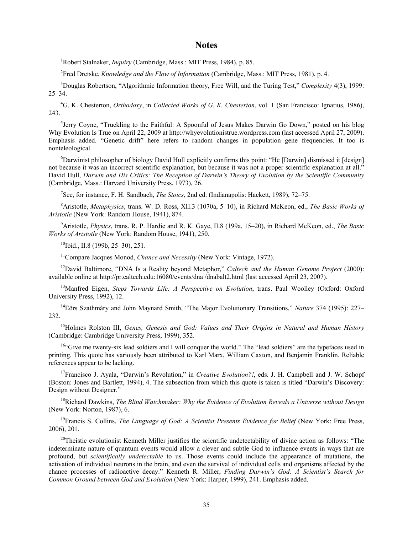#### **Notes**

<sup>1</sup>Robert Stalnaker, *Inquiry* (Cambridge, Mass.: MIT Press, 1984), p. 85.

2 Fred Dretske, *Knowledge and the Flow of Information* (Cambridge, Mass.: MIT Press, 1981), p. 4.

3 Douglas Robertson, "Algorithmic Information theory, Free Will, and the Turing Test," *Complexity* 4(3), 1999:  $25 - 34.$ 

4 G. K. Chesterton, *Orthodoxy*, in *Collected Works of G. K. Chesterton*, vol. 1 (San Francisco: Ignatius, 1986), 243.

<sup>5</sup>Jerry Coyne, "Truckling to the Faithful: A Spoonful of Jesus Makes Darwin Go Down," posted on his blog Why Evolution Is True on April 22, 2009 at http://whyevolutionistrue.wordpress.com (last accessed April 27, 2009). Emphasis added. "Genetic drift" here refers to random changes in population gene frequencies. It too is nonteleological.

6 Darwinist philosopher of biology David Hull explicitly confirms this point: "He [Darwin] dismissed it [design] not because it was an incorrect scientific explanation, but because it was not a proper scientific explanation at all." David Hull, *Darwin and His Critics: The Reception of Darwin's Theory of Evolution by the Scientific Community* (Cambridge, Mass.: Harvard University Press, 1973), 26.

7 See, for instance, F. H. Sandbach, *The Stoics*, 2nd ed. (Indianapolis: Hackett, 1989), 72–75.

8 Aristotle, *Metaphysics*, trans. W. D. Ross, XII.3 (1070a, 5–10), in Richard McKeon, ed., *The Basic Works of Aristotle* (New York: Random House, 1941), 874.

9 Aristotle, *Physics*, trans. R. P. Hardie and R. K. Gaye, II.8 (199a, 15–20), in Richard McKeon, ed., *The Basic Works of Aristotle* (New York: Random House, 1941), 250.

 $10$ Ibid., II.8 (199b, 25–30), 251.

<sup>11</sup>Compare Jacques Monod, *Chance and Necessity* (New York: Vintage, 1972).

12David Baltimore, "DNA Is a Reality beyond Metaphor," *Caltech and the Human Genome Project* (2000): available online at http://pr.caltech.edu:16080/events/dna /dnabalt2.html (last accessed April 23, 2007).

13Manfred Eigen, *Steps Towards Life: A Perspective on Evolution*, trans. Paul Woolley (Oxford: Oxford University Press, 1992), 12.

14Eörs Szathmáry and John Maynard Smith, "The Major Evolutionary Transitions," *Nature* 374 (1995): 227– 232.

15Holmes Rolston III, *Genes, Genesis and God: Values and Their Origins in Natural and Human History* (Cambridge: Cambridge University Press, 1999), 352.

<sup>16"</sup>Give me twenty-six lead soldiers and I will conquer the world." The "lead soldiers" are the typefaces used in printing. This quote has variously been attributed to Karl Marx, William Caxton, and Benjamin Franklin. Reliable references appear to be lacking.

<sup>17</sup>Francisco J. Ayala, "Darwin's Revolution," in *Creative Evolution?!*, eds. J. H. Campbell and J. W. Schopf (Boston: Jones and Bartlett, 1994), 4. The subsection from which this quote is taken is titled "Darwin's Discovery: Design without Designer."

18Richard Dawkins, *The Blind Watchmaker: Why the Evidence of Evolution Reveals a Universe without Design* (New York: Norton, 1987), 6.

19Francis S. Collins, *The Language of God: A Scientist Presents Evidence for Belief* (New York: Free Press, 2006), 201.

 $^{20}$ Theistic evolutionist Kenneth Miller justifies the scientific undetectability of divine action as follows: "The indeterminate nature of quantum events would allow a clever and subtle God to influence events in ways that are profound, but *scientifically undetectable* to us. Those events could include the appearance of mutations, the activation of individual neurons in the brain, and even the survival of individual cells and organisms affected by the chance processes of radioactive decay." Kenneth R. Miller, *Finding Darwin's God: A Scientist's Search for Common Ground between God and Evolution* (New York: Harper, 1999), 241. Emphasis added.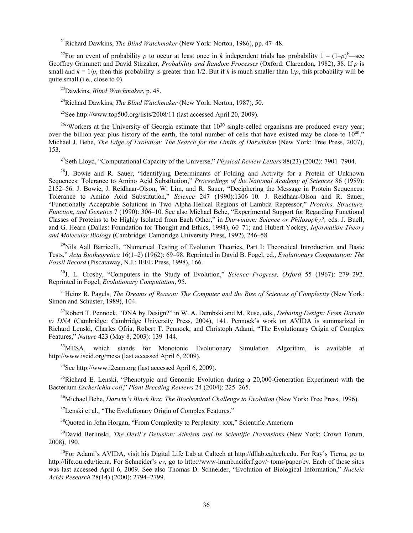21Richard Dawkins, *The Blind Watchmaker* (New York: Norton, 1986), pp. 47–48.

<sup>22</sup>For an event of probability *p* to occur at least once in *k* independent trials has probability  $1 - (1-p)^k$ —see Geoffrey Grimmett and David Stirzaker, *Probability and Random Processes* (Oxford: Clarendon, 1982), 38. If *p* is small and  $k = 1/p$ , then this probability is greater than  $1/2$ . But if k is much smaller than  $1/p$ , this probability will be quite small (i.e., close to 0).

23Dawkins, *Blind Watchmaker*, p. 48.

24Richard Dawkins, *The Blind Watchmaker* (New York: Norton, 1987), 50.

<sup>25</sup>See http://www.top500.org/lists/2008/11 (last accessed April 20, 2009).

 $^{26}$ "Workers at the University of Georgia estimate that  $10^{30}$  single-celled organisms are produced every year; over the billion-year-plus history of the earth, the total number of cells that have existed may be close to  $10^{40}$ ." Michael J. Behe, *The Edge of Evolution: The Search for the Limits of Darwinism* (New York: Free Press, 2007), 153.

27Seth Lloyd, "Computational Capacity of the Universe," *Physical Review Letters* 88(23) (2002): 7901–7904.

 $^{28}$ J. Bowie and R. Sauer, "Identifying Determinants of Folding and Activity for a Protein of Unknown Sequences: Tolerance to Amino Acid Substitution," *Proceedings of the National Academy of Sciences* 86 (1989): 2152–56. J. Bowie, J. Reidhaar-Olson, W. Lim, and R. Sauer, "Deciphering the Message in Protein Sequences: Tolerance to Amino Acid Substitution," *Science* 247 (1990):1306–10. J. Reidhaar-Olson and R. Sauer, "Functionally Acceptable Solutions in Two Alpha-Helical Regions of Lambda Repressor," *Proteins, Structure, Function, and Genetics* 7 (1990): 306–10. See also Michael Behe, "Experimental Support for Regarding Functional Classes of Proteins to be Highly Isolated from Each Other," in *Darwinism: Science or Philosophy?,* eds. J. Buell, and G. Hearn (Dallas: Foundation for Thought and Ethics, 1994), 60–71; and Hubert Yockey, *Information Theory and Molecular Biology* (Cambridge: Cambridge University Press, 1992), 246–58

<sup>29</sup>Nils Aall Barricelli, "Numerical Testing of Evolution Theories, Part I: Theoretical Introduction and Basic Tests," *Acta Biotheoretica* 16(1–2) (1962): 69–98. Reprinted in David B. Fogel, ed., *Evolutionary Computation: The Fossil Record* (Piscataway, N.J.: IEEE Press, 1998), 166.

30J. L. Crosby, "Computers in the Study of Evolution," *Science Progress, Oxford* 55 (1967): 279–292. Reprinted in Fogel, *Evolutionary Computation*, 95.

<sup>31</sup>Heinz R. Pagels, *The Dreams of Reason: The Computer and the Rise of Sciences of Complexity (New York:* Simon and Schuster, 1989), 104.

32Robert T. Pennock, "DNA by Design?" in W. A. Dembski and M. Ruse, eds., *Debating Design: From Darwin to DNA* (Cambridge: Cambridge University Press, 2004), 141. Pennock's work on AVIDA is summarized in Richard Lenski, Charles Ofria, Robert T. Pennock, and Christoph Adami, "The Evolutionary Origin of Complex Features," *Nature* 423 (May 8, 2003): 139–144.

<sup>33</sup>MESA, which stands for Monotonic Evolutionary Simulation Algorithm, is available at http://www.iscid.org/mesa (last accessed April 6, 2009).

 $34$ See http://www.i2cam.org (last accessed April 6, 2009).

 $35$ Richard E. Lenski, "Phenotypic and Genomic Evolution during a 20,000-Generation Experiment with the Bacterium *Escherichia coli*," *Plant Breeding Reviews* 24 (2004): 225–265.

36Michael Behe, *Darwin's Black Box: The Biochemical Challenge to Evolution* (New York: Free Press, 1996).

<sup>37</sup>Lenski et al., "The Evolutionary Origin of Complex Features."

<sup>38</sup>Quoted in John Horgan, "From Complexity to Perplexity: xxx," Scientific American

39David Berlinski, *The Devil's Delusion: Atheism and Its Scientific Pretensions* (New York: Crown Forum, 2008), 190.

<sup>40</sup>For Adami's AVIDA, visit his Digital Life Lab at Caltech at http://dllab.caltech.edu. For Ray's Tierra, go to http://life.ou.edu/tierra. For Schneider's *ev*, go to http://www-lmmb.ncifcrf.gov/~toms/paper/ev. Each of these sites was last accessed April 6, 2009. See also Thomas D. Schneider, "Evolution of Biological Information," *Nucleic Acids Research* 28(14) (2000): 2794–2799.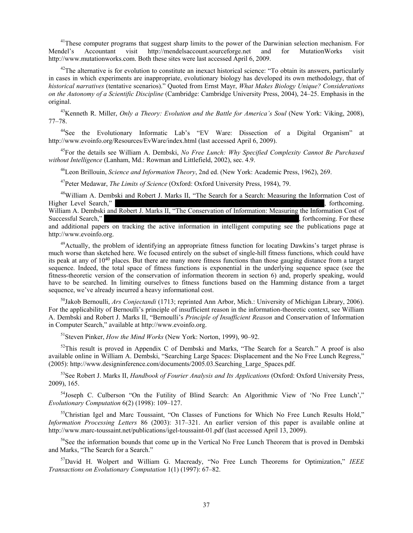<sup>41</sup>These computer programs that suggest sharp limits to the power of the Darwinian selection mechanism. For Mendel's Accountant visit http://mendelsaccount.sourceforge.net and for MutationWorks visit http://www.mutationworks.com. Both these sites were last accessed April 6, 2009.

 $42$ The alternative is for evolution to constitute an inexact historical science: "To obtain its answers, particularly in cases in which experiments are inappropriate, evolutionary biology has developed its own methodology, that of *historical narratives* (tentative scenarios)." Quoted from Ernst Mayr, *What Makes Biology Unique? Considerations on the Autonomy of a Scientific Discipline* (Cambridge: Cambridge University Press, 2004), 24–25. Emphasis in the original.

43Kenneth R. Miller, *Only a Theory: Evolution and the Battle for America's Soul* (New York: Viking, 2008), 77–78.

<sup>44</sup>See the Evolutionary Informatic Lab's "EV Ware: Dissection of a Digital Organism" at http://www.evoinfo.org/Resources/EvWare/index.html (last accessed April 6, 2009).

45For the details see William A. Dembski, *No Free Lunch: Why Specified Complexity Cannot Be Purchased without Intelligence* (Lanham, Md.: Rowman and Littlefield, 2002), sec. 4.9.

46Leon Brillouin, *Science and Information Theory*, 2nd ed. (New York: Academic Press, 1962), 269.

47Peter Medawar, *The Limits of Science* (Oxford: Oxford University Press, 1984), 79.

<sup>48</sup>William A. Dembski and Robert J. Marks II, "The Search for a Search: Measuring the Information Cost of the Level Search." Higher Level Search," *International Search*, forthcoming. William A. Dembski and Robert J. Marks II, "The Conservation of Information: Measuring the Information Cost of Successful Search," *International Search*, for these example  $\alpha$  is the *International Games – International of these*  $\alpha$ and additional papers on tracking the active information in intelligent computing see the publications page at http://www.evoinfo.org.

<sup>49</sup>Actually, the problem of identifying an appropriate fitness function for locating Dawkins's target phrase is much worse than sketched here. We focused entirely on the subset of single-hill fitness functions, which could have its peak at any of 1040 places. But there are many more fitness functions than those gauging distance from a target sequence. Indeed, the total space of fitness functions is exponential in the underlying sequence space (see the fitness-theoretic version of the conservation of information theorem in section 6) and, properly speaking, would have to be searched. In limiting ourselves to fitness functions based on the Hamming distance from a target sequence, we've already incurred a heavy informational cost.

50Jakob Bernoulli, *Ars Conjectandi* (1713; reprinted Ann Arbor, Mich.: University of Michigan Library, 2006). For the applicability of Bernoulli's principle of insufficient reason in the information-theoretic context, see William A. Dembski and Robert J. Marks II, "Bernoulli's *Principle of Insufficient Reason* and Conservation of Information in Computer Search," available at http://www.evoinfo.org.

51Steven Pinker, *How the Mind Works* (New York: Norton, 1999), 90–92.

52This result is proved in Appendix C of Dembski and Marks, "The Search for a Search." A proof is also available online in William A. Dembski, "Searching Large Spaces: Displacement and the No Free Lunch Regress," (2005): http://www.designinference.com/documents/2005.03.Searching\_Large\_Spaces.pdf.

53See Robert J. Marks II, *Handbook of Fourier Analysis and Its Applications* (Oxford: Oxford University Press, 2009), 165.

<sup>54</sup>Joseph C. Culberson "On the Futility of Blind Search: An Algorithmic View of 'No Free Lunch'," *Evolutionary Computation* 6(2) (1998): 109–127.

<sup>55</sup>Christian Igel and Marc Toussaint, "On Classes of Functions for Which No Free Lunch Results Hold," *Information Processing Letters* 86 (2003): 317–321. An earlier version of this paper is available online at http://www.marc-toussaint.net/publications/igel-toussaint-01.pdf (last accessed April 13, 2009).

 $56$ See the information bounds that come up in the Vertical No Free Lunch Theorem that is proved in Dembski and Marks, "The Search for a Search."

57David H. Wolpert and William G. Macready, "No Free Lunch Theorems for Optimization," *IEEE Transactions on Evolutionary Computation* 1(1) (1997): 67–82.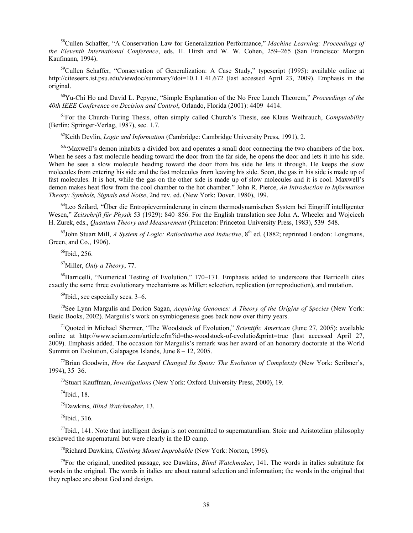58Cullen Schaffer, "A Conservation Law for Generalization Performance," *Machine Learning: Proceedings of the Eleventh International Conference*, eds. H. Hirsh and W. W. Cohen, 259–265 (San Francisco: Morgan Kaufmann, 1994).

<sup>59</sup>Cullen Schaffer, "Conservation of Generalization: A Case Study," typescript (1995): available online at http://citeseerx.ist.psu.edu/viewdoc/summary?doi=10.1.1.41.672 (last accessed April 23, 2009). Emphasis in the original.

60Yu-Chi Ho and David L. Pepyne, "Simple Explanation of the No Free Lunch Theorem," *Proceedings of the 40th IEEE Conference on Decision and Control*, Orlando, Florida (2001): 4409–4414.

61For the Church-Turing Thesis, often simply called Church's Thesis, see Klaus Weihrauch, *Computability* (Berlin: Springer-Verlag, 1987), sec. 1.7.

62Keith Devlin, *Logic and Information* (Cambridge: Cambridge University Press, 1991), 2.

 $63$ "Maxwell's demon inhabits a divided box and operates a small door connecting the two chambers of the box. When he sees a fast molecule heading toward the door from the far side, he opens the door and lets it into his side. When he sees a slow molecule heading toward the door from his side he lets it through. He keeps the slow molecules from entering his side and the fast molecules from leaving his side. Soon, the gas in his side is made up of fast molecules. It is hot, while the gas on the other side is made up of slow molecules and it is cool. Maxwell's demon makes heat flow from the cool chamber to the hot chamber." John R. Pierce, *An Introduction to Information Theory: Symbols, Signals and Noise*, 2nd rev. ed. (New York: Dover, 1980), 199.

64Leo Szilard, "Über die Entropieverminderung in einem thermodynamischen System bei Eingriff intelligenter Wesen," *Zeitschrift für Physik* 53 (1929): 840–856. For the English translation see John A. Wheeler and Wojciech H. Zurek, eds., *Quantum Theory and Measurement* (Princeton: Princeton University Press, 1983), 539–548.

<sup>65</sup>John Stuart Mill, *A System of Logic: Ratiocinative and Inductive*, 8<sup>th</sup> ed. (1882; reprinted London: Longmans, Green, and Co., 1906).

<sup>66</sup>Ibid., 256.

67Miller, *Only a Theory*, 77.

68Barricelli, "Numerical Testing of Evolution," 170–171. Emphasis added to underscore that Barricelli cites exactly the same three evolutionary mechanisms as Miller: selection, replication (or reproduction), and mutation.

 $^{69}$ Ibid., see especially secs. 3–6.

70See Lynn Margulis and Dorion Sagan, *Acquiring Genomes: A Theory of the Origins of Species* (New York: Basic Books, 2002). Margulis's work on symbiogenesis goes back now over thirty years.

71Quoted in Michael Shermer, "The Woodstock of Evolution," *Scientific American* (June 27, 2005): available online at http://www.sciam.com/article.cfm?id=the-woodstock-of-evolutio&print=true (last accessed April 27, 2009). Emphasis added. The occasion for Margulis's remark was her award of an honorary doctorate at the World Summit on Evolution, Galapagos Islands, June 8 – 12, 2005.

72Brian Goodwin, *How the Leopard Changed Its Spots: The Evolution of Complexity* (New York: Scribner's, 1994), 35–36.

73Stuart Kauffman, *Investigations* (New York: Oxford University Press, 2000), 19.

 $74$ Ibid., 18.

75Dawkins, *Blind Watchmaker*, 13.

 $76$ Ibid., 316.

 $^{77}$ Ibid., 141. Note that intelligent design is not committed to supernaturalism. Stoic and Aristotelian philosophy eschewed the supernatural but were clearly in the ID camp.

78Richard Dawkins, *Climbing Mount Improbable* (New York: Norton, 1996).

79For the original, unedited passage, see Dawkins, *Blind Watchmaker*, 141. The words in italics substitute for words in the original. The words in italics are about natural selection and information; the words in the original that they replace are about God and design.